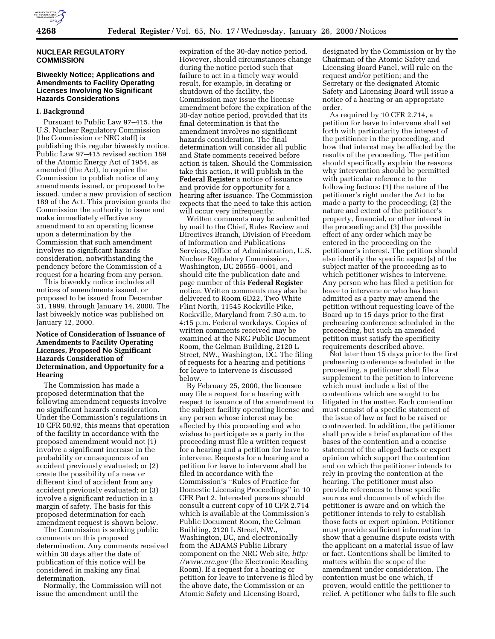

## **NUCLEAR REGULATORY COMMISSION**

# **Biweekly Notice; Applications and Amendments to Facility Operating Licenses Involving No Significant Hazards Considerations**

#### **I. Background**

Pursuant to Public Law 97–415, the U.S. Nuclear Regulatory Commission (the Commission or NRC staff) is publishing this regular biweekly notice. Public Law 97–415 revised section 189 of the Atomic Energy Act of 1954, as amended (the Act), to require the Commission to publish notice of any amendments issued, or proposed to be issued, under a new provision of section 189 of the Act. This provision grants the Commission the authority to issue and make immediately effective any amendment to an operating license upon a determination by the Commission that such amendment involves no significant hazards consideration, notwithstanding the pendency before the Commission of a request for a hearing from any person.

This biweekly notice includes all notices of amendments issued, or proposed to be issued from December 31, 1999, through January 14, 2000. The last biweekly notice was published on January 12, 2000.

## **Notice of Consideration of Issuance of Amendments to Facility Operating Licenses, Proposed No Significant Hazards Consideration of Determination, and Opportunity for a Hearing**

The Commission has made a proposed determination that the following amendment requests involve no significant hazards consideration. Under the Commission's regulations in 10 CFR 50.92, this means that operation of the facility in accordance with the proposed amendment would not (1) involve a significant increase in the probability or consequences of an accident previously evaluated; or (2) create the possibility of a new or different kind of accident from any accident previously evaluated; or (3) involve a significant reduction in a margin of safety. The basis for this proposed determination for each amendment request is shown below.

The Commission is seeking public comments on this proposed determination. Any comments received within 30 days after the date of publication of this notice will be considered in making any final determination.

Normally, the Commission will not issue the amendment until the

expiration of the 30-day notice period. However, should circumstances change during the notice period such that failure to act in a timely way would result, for example, in derating or shutdown of the facility, the Commission may issue the license amendment before the expiration of the 30-day notice period, provided that its final determination is that the amendment involves no significant hazards consideration. The final determination will consider all public and State comments received before action is taken. Should the Commission take this action, it will publish in the **Federal Register** a notice of issuance and provide for opportunity for a hearing after issuance. The Commission expects that the need to take this action will occur very infrequently.

Written comments may be submitted by mail to the Chief, Rules Review and Directives Branch, Division of Freedom of Information and Publications Services, Office of Administration, U.S. Nuclear Regulatory Commission, Washington, DC 20555–0001, and should cite the publication date and page number of this **Federal Register** notice. Written comments may also be delivered to Room 6D22, Two White Flint North, 11545 Rockville Pike, Rockville, Maryland from 7:30 a.m. to 4:15 p.m. Federal workdays. Copies of written comments received may be examined at the NRC Public Document Room, the Gelman Building, 2120 L Street, NW., Washington, DC. The filing of requests for a hearing and petitions for leave to intervene is discussed below.

By February 25, 2000, the licensee may file a request for a hearing with respect to issuance of the amendment to the subject facility operating license and any person whose interest may be affected by this proceeding and who wishes to participate as a party in the proceeding must file a written request for a hearing and a petition for leave to intervene. Requests for a hearing and a petition for leave to intervene shall be filed in accordance with the Commission's ''Rules of Practice for Domestic Licensing Proceedings'' in 10 CFR Part 2. Interested persons should consult a current copy of 10 CFR 2.714 which is available at the Commission's Public Document Room, the Gelman Building, 2120 L Street, NW., Washington, DC, and electronically from the ADAMS Public Library component on the NRC Web site, *http: //www.nrc.gov* (the Electronic Reading Room). If a request for a hearing or petition for leave to intervene is filed by the above date, the Commission or an Atomic Safety and Licensing Board,

designated by the Commission or by the Chairman of the Atomic Safety and Licensing Board Panel, will rule on the request and/or petition; and the Secretary or the designated Atomic Safety and Licensing Board will issue a notice of a hearing or an appropriate order.

As required by 10 CFR 2.714, a petition for leave to intervene shall set forth with particularity the interest of the petitioner in the proceeding, and how that interest may be affected by the results of the proceeding. The petition should specifically explain the reasons why intervention should be permitted with particular reference to the following factors: (1) the nature of the petitioner's right under the Act to be made a party to the proceeding; (2) the nature and extent of the petitioner's property, financial, or other interest in the proceeding; and (3) the possible effect of any order which may be entered in the proceeding on the petitioner's interest. The petition should also identify the specific aspect(s) of the subject matter of the proceeding as to which petitioner wishes to intervene. Any person who has filed a petition for leave to intervene or who has been admitted as a party may amend the petition without requesting leave of the Board up to 15 days prior to the first prehearing conference scheduled in the proceeding, but such an amended petition must satisfy the specificity requirements described above.

Not later than 15 days prior to the first prehearing conference scheduled in the proceeding, a petitioner shall file a supplement to the petition to intervene which must include a list of the contentions which are sought to be litigated in the matter. Each contention must consist of a specific statement of the issue of law or fact to be raised or controverted. In addition, the petitioner shall provide a brief explanation of the bases of the contention and a concise statement of the alleged facts or expert opinion which support the contention and on which the petitioner intends to rely in proving the contention at the hearing. The petitioner must also provide references to those specific sources and documents of which the petitioner is aware and on which the petitioner intends to rely to establish those facts or expert opinion. Petitioner must provide sufficient information to show that a genuine dispute exists with the applicant on a material issue of law or fact. Contentions shall be limited to matters within the scope of the amendment under consideration. The contention must be one which, if proven, would entitle the petitioner to relief. A petitioner who fails to file such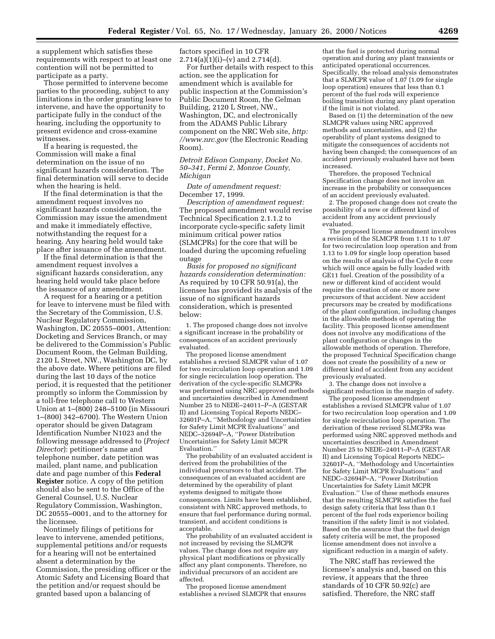a supplement which satisfies these requirements with respect to at least one contention will not be permitted to participate as a party.

Those permitted to intervene become parties to the proceeding, subject to any limitations in the order granting leave to intervene, and have the opportunity to participate fully in the conduct of the hearing, including the opportunity to present evidence and cross-examine witnesses.

If a hearing is requested, the Commission will make a final determination on the issue of no significant hazards consideration. The final determination will serve to decide when the hearing is held.

If the final determination is that the amendment request involves no significant hazards consideration, the Commission may issue the amendment and make it immediately effective, notwithstanding the request for a hearing. Any hearing held would take place after issuance of the amendment.

If the final determination is that the amendment request involves a significant hazards consideration, any hearing held would take place before the issuance of any amendment.

A request for a hearing or a petition for leave to intervene must be filed with the Secretary of the Commission, U.S. Nuclear Regulatory Commission, Washington, DC 20555–0001, Attention: Docketing and Services Branch, or may be delivered to the Commission's Public Document Room, the Gelman Building, 2120 L Street, NW., Washington DC, by the above date. Where petitions are filed during the last 10 days of the notice period, it is requested that the petitioner promptly so inform the Commission by a toll-free telephone call to Western Union at 1–(800) 248–5100 (in Missouri 1–(800) 342–6700). The Western Union operator should be given Datagram Identification Number N1023 and the following message addressed to (*Project Director*): petitioner's name and telephone number, date petition was mailed, plant name, and publication date and page number of this **Federal Register** notice. A copy of the petition should also be sent to the Office of the General Counsel, U.S. Nuclear Regulatory Commission, Washington, DC 20555–0001, and to the attorney for the licensee.

Nontimely filings of petitions for leave to intervene, amended petitions, supplemental petitions and/or requests for a hearing will not be entertained absent a determination by the Commission, the presiding officer or the Atomic Safety and Licensing Board that the petition and/or request should be granted based upon a balancing of

factors specified in 10 CFR  $2.714(a)(1)(i)–(v)$  and  $2.714(d)$ .

For further details with respect to this action, see the application for amendment which is available for public inspection at the Commission's Public Document Room, the Gelman Building, 2120 L Street, NW., Washington, DC, and electronically from the ADAMS Public Library component on the NRC Web site, *http: //www.nrc.gov* (the Electronic Reading Room).

*Detroit Edison Company, Docket No. 50–341, Fermi 2, Monroe County, Michigan*

*Date of amendment request:* December 17, 1999.

*Description of amendment request:* The proposed amendment would revise Technical Specification 2.1.1.2 to incorporate cycle-specific safety limit minimum critical power ratios (SLMCPRs) for the core that will be loaded during the upcoming refueling outage

*Basis for proposed no significant hazards consideration determination:* As required by 10 CFR 50.91(a), the licensee has provided its analysis of the issue of no significant hazards consideration, which is presented below:

1. The proposed change does not involve a significant increase in the probability or consequences of an accident previously evaluated.

The proposed license amendment establishes a revised SLMCPR value of 1.07 for two recirculation loop operation and 1.09 for single recirculation loop operation. The derivation of the cycle-specific SLMCPRs was performed using NRC approved methods and uncertainties described in Amendment Number 25 to NEDE–24011–P–A (GESTAR II) and Licensing Topical Reports NEDC– 32601P–A, ''Methodology and Uncertainties for Safety Limit MCPR Evaluations'' and NEDC–32694P–A, ''Power Distribution Uncertainties for Safety Limit MCPR Evaluation.''

The probability of an evaluated accident is derived from the probabilities of the individual precursors to that accident. The consequences of an evaluated accident are determined by the operability of plant systems designed to mitigate those consequences. Limits have been established, consistent with NRC approved methods, to ensure that fuel performance during normal, transient, and accident conditions is acceptable.

The probability of an evaluated accident is not increased by revising the SLMCPR values. The change does not require any physical plant modifications or physically affect any plant components. Therefore, no individual precursors of an accident are affected.

The proposed license amendment establishes a revised SLMCPR that ensures

that the fuel is protected during normal operation and during any plant transients or anticipated operational occurrences. Specifically, the reload analysis demonstrates that a SLMCPR value of 1.07 (1.09 for single loop operation) ensures that less than 0.1 percent of the fuel rods will experience boiling transition during any plant operation if the limit is not violated.

Based on (1) the determination of the new SLMCPR values using NRC approved methods and uncertainties, and (2) the operability of plant systems designed to mitigate the consequences of accidents not having been changed; the consequences of an accident previously evaluated have not been increased.

Therefore, the proposed Technical Specification change does not involve an increase in the probability or consequences of an accident previously evaluated.

2. The proposed change does not create the possibility of a new or different kind of accident from any accident previously evaluated.

The proposed license amendment involves a revision of the SLMCPR from 1.11 to 1.07 for two recirculation loop operation and from 1.13 to 1.09 for single loop operation based on the results of analysis of the Cycle 8 core which will once again be fully loaded with GE11 fuel. Creation of the possibility of a new or different kind of accident would require the creation of one or more new precursors of that accident. New accident precursors may be created by modifications of the plant configuration, including changes in the allowable methods of operating the facility. This proposed license amendment does not involve any modifications of the plant configuration or changes in the allowable methods of operation. Therefore, the proposed Technical Specification change does not create the possibility of a new or different kind of accident from any accident previously evaluated.

3. The change does not involve a significant reduction in the margin of safety.

The proposed license amendment establishes a revised SLMCPR value of 1.07 for two recirculation loop operation and 1.09 for single recirculation loop operation. The derivation of these revised SLMCPRs was performed using NRC approved methods and uncertainties described in Amendment Number 25 to NEDE–24011–P–A (GESTAR II) and Licensing Topical Reports NEDC– 32601P–A, ''Methodology and Uncertainties for Safety Limit MCPR Evaluations'' and NEDC–32694P–A, ''Power Distribution Uncertainties for Safety Limit MCPR Evaluation.'' Use of these methods ensures that the resulting SLMCPR satisfies the fuel design safety criteria that less than 0.1 percent of the fuel rods experience boiling transition if the safety limit is not violated. Based on the assurance that the fuel design safety criteria will be met, the proposed license amendment does not involve a significant reduction in a margin of safety.

The NRC staff has reviewed the licensee's analysis and, based on this review, it appears that the three standards of 10 CFR 50.92(c) are satisfied. Therefore, the NRC staff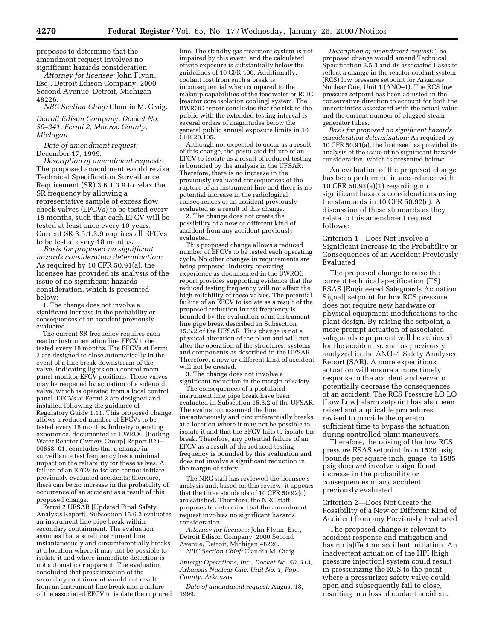proposes to determine that the amendment request involves no significant hazards consideration.

*Attorney for licensee:* John Flynn, Esq., Detroit Edison Company, 2000 Second Avenue, Detroit, Michigan 48226.

*NRC Section Chief:* Claudia M. Craig.

*Detroit Edison Company, Docket No. 50–341, Fermi 2, Monroe County, Michigan*

*Date of amendment request:* December 17, 1999.

*Description of amendment request:* The proposed amendment would revise Technical Specification Surveillance Requirement (SR) 3.6.1.3.9 to relax the SR frequency by allowing a representative sample of excess flow check valves (EFCVs) to be tested every 18 months, such that each EFCV will be tested at least once every 10 years. Current SR 3.6.1.3.9 requires all EFCVs to be tested every 18 months.

*Basis for proposed no significant hazards consideration determination:* As required by 10 CFR 50.91(a), the licensee has provided its analysis of the issue of no significant hazards consideration, which is presented below:

1. The change does not involve a significant increase in the probability or consequences of an accident previously evaluated.

The current SR frequency requires each reactor instrumentation line EFCV to be tested every 18 months. The EFCVs at Fermi 2 are designed to close automatically in the event of a line break downstream of the valve. Indicating lights on a control room panel monitor EFCV positions. These valves may be reopened by actuation of a solenoid valve, which is operated from a local control panel. EFCVs at Fermi 2 are designed and installed following the guidance of Regulatory Guide 1.11. This proposed change allows a reduced number of EFCVs to be tested every 18 months. Industry operating experience, documented in BWROG [Boiling Water Reactor Owners Group] Report B21– 00658–01, concludes that a change in surveillance test frequency has a minimal impact on the reliability for these valves. A failure of an EFCV to isolate cannot initiate previously evaluated accidents; therefore, there can be no increase in the probability of occurrence of an accident as a result of this proposed change.

Fermi 2 UFSAR [Updated Final Safety Analysis Report], Subsection 15.6.2 evaluates an instrument line pipe break within secondary containment. The evaluation assumes that a small instrument line instantaneously and circumferentially breaks at a location where it may not be possible to isolate it and where immediate detection is not automatic or apparent. The evaluation concluded that pressurization of the secondary containment would not result from an instrument line break and a failure of the associated EFCV to isolate the ruptured line. The standby gas treatment system is not impaired by this event, and the calculated offsite exposure is substantially below the guidelines of 10 CFR 100. Additionally, coolant lost from such a break is inconsequential when compared to the makeup capabilities of the feedwater or RCIC [reactor core isolation cooling] system. The BWROG report concludes that the risk to the public with the extended testing interval is several orders of magnitudes below the general public annual exposure limits in 10 CFR 20.105.

Although not expected to occur as a result of this change, the postulated failure of an EFCV to isolate as a result of reduced testing is bounded by the analysis in the UFSAR. Therefore, there is no increase in the previously evaluated consequences of the rupture of an instrument line and there is no potential increase in the radiological consequences of an accident previously evaluated as a result of this change.

2. The change does not create the possibility of a new or different kind of accident from any accident previously evaluated.

This proposed change allows a reduced number of EFCVs to be tested each operating cycle. No other changes in requirements are being proposed. Industry operating experience as documented in the BWROG report provides supporting evidence that the reduced testing frequency will not affect the high reliability of these valves. The potential failure of an EFCV to isolate as a result of the proposed reduction in test frequency is bounded by the evaluation of an instrument line pipe break described in Subsection 15.6.2 of the UFSAR. This change is not a physical alteration of the plant and will not alter the operation of the structures, systems and components as described in the UFSAR. Therefore, a new or different kind of accident will not be created.

3. The change does not involve a significant reduction in the margin of safety.

The consequences of a postulated instrument line pipe break have been evaluated in Subsection 15.6.2 of the UFSAR. The evaluation assumed the line instantaneously and circumferentially breaks at a location where it may not be possible to isolate it and that the EFCV fails to isolate the break. Therefore, any potential failure of an EFCV as a result of the reduced testing frequency is bounded by this evaluation and does not involve a significant reduction in the margin of safety.

The NRC staff has reviewed the licensee's analysis and, based on this review, it appears that the three standards of 10 CFR 50.92(c) are satisfied. Therefore, the NRC staff proposes to determine that the amendment request involves no significant hazards consideration.

*Attorney for licensee:* John Flynn, Esq., Detroit Edison Company, 2000 Second Avenue, Detroit, Michigan 48226. *NRC Section Chief:* Claudia M. Craig

*Entergy Operations, Inc., Docket No. 50–313, Arkansas Nuclear One, Unit No. 1, Pope County, Arkansas*

*Date of amendment request:* August 18, 1999.

*Description of amendment request:* The proposed change would amend Technical Specification 3.5.3 and its associated Bases to reflect a change in the reactor coolant system (RCS) low pressure setpoint for Arkansas Nuclear One, Unit 1 (ANO–1). The RCS low pressure setpoint has been adjusted in the conservative direction to account for both the uncertainties associated with the actual value and the current number of plugged steam generator tubes.

*Basis for proposed no significant hazards consideration determination:* As required by 10 CFR 50.91(a), the licensee has provided its analysis of the issue of no significant hazards consideration, which is presented below:

An evaluation of the proposed change has been performed in accordance with 10 CFR 50.91(a)(1) regarding no significant hazards considerations using the standards in 10 CFR 50.92(c). A discussion of these standards as they relate to this amendment request follows:

Criterion 1—Does Not Involve a Significant Increase in the Probability or Consequences of an Accident Previously Evaluated

The proposed change to raise the current technical specification (TS) ESAS [Engineered Safeguards Actuation Signal] setpoint for low RCS pressure does not require new hardware or physical equipment modifications to the plant design. By raising the setpoint, a more prompt actuation of associated safeguards equipment will be achieved for the accident scenarios previously analyzed in the ANO–1 Safety Analyses Report (SAR). A more expeditious actuation will ensure a more timely response to the accident and serve to potentially decrease the consequences of an accident. The RCS Pressure LO LO [Low Low] alarm setpoint has also been raised and applicable procedures revised to provide the operator sufficient time to bypass the actuation during controlled plant maneuvers.

Therefore, the raising of the low RCS pressure ESAS setpoint from 1526 psig [pounds per square inch, guage] to 1585 psig does *not* involve a significant increase in the probability or consequences of any accident previously evaluated.

Criterion 2—Does Not Create the Possibility of a New or Different Kind of Accident from any Previously Evaluated

The proposed change is relevant to accident response and mitigation and has no [a]ffect on accident initiation. An inadvertent actuation of the HPI [high pressure injection] system could result in pressurizing the RCS to the point where a pressurizer safety valve could open and subsequently fail to close, resulting in a loss of coolant accident.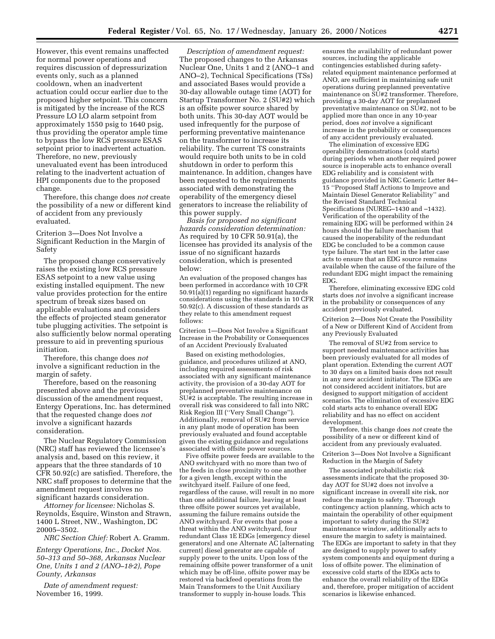However, this event remains unaffected for normal power operations and requires discussion of depressurization events only, such as a planned cooldown, when an inadvertent actuation could occur earlier due to the proposed higher setpoint. This concern is mitigated by the increase of the RCS Pressure LO LO alarm setpoint from approximately 1550 psig to 1640 psig, thus providing the operator ample time to bypass the low RCS pressure ESAS setpoint prior to inadvertent actuation. Therefore, no new, previously unevaluated event has been introduced relating to the inadvertent actuation of HPI components due to the proposed change.

Therefore, this change does *not* create the possibility of a new or different kind of accident from any previously evaluated.

Criterion 3—Does Not Involve a Significant Reduction in the Margin of Safety

The proposed change conservatively raises the existing low RCS pressure ESAS setpoint to a new value using existing installed equipment. The new value provides protection for the entire spectrum of break sizes based on applicable evaluations and considers the effects of projected steam generator tube plugging activities. The setpoint is also sufficiently below normal operating pressure to aid in preventing spurious initiation.

Therefore, this change does *not* involve a significant reduction in the margin of safety.

Therefore, based on the reasoning presented above and the previous discussion of the amendment request, Entergy Operations, Inc. has determined that the requested change does *not* involve a significant hazards consideration.

The Nuclear Regulatory Commission (NRC) staff has reviewed the licensee's analysis and, based on this review, it appears that the three standards of 10 CFR 50.92(c) are satisfied. Therefore, the NRC staff proposes to determine that the amendment request involves no significant hazards consideration.

*Attorney for licensee:* Nicholas S. Reynolds, Esquire, Winston and Strawn, 1400 L Street, NW., Washington, DC 20005–3502.

*NRC Section Chief:* Robert A. Gramm.

*Entergy Operations, Inc., Docket Nos. 50–313 and 50–368, Arkansas Nuclear One, Units 1 and 2 (ANO–1&2), Pope County, Arkansas*

*Date of amendment request:* November 16, 1999.

*Description of amendment request:* The proposed changes to the Arkansas Nuclear One, Units 1 and 2 (ANO–1 and ANO–2), Technical Specifications (TSs) and associated Bases would provide a 30-day allowable outage time (AOT) for Startup Transformer No. 2 (SU#2) which is an offsite power source shared by both units. This 30-day AOT would be used infrequently for the purpose of performing preventative maintenance on the transformer to increase its reliability. The current TS constraints would require both units to be in cold shutdown in order to perform this maintenance. In addition, changes have been requested to the requirements associated with demonstrating the operability of the emergency diesel generators to increase the reliability of this power supply.

*Basis for proposed no significant hazards consideration determination:* As required by 10 CFR 50.91(a), the licensee has provided its analysis of the issue of no significant hazards consideration, which is presented below:

An evaluation of the proposed changes has been performed in accordance with 10 CFR 50.91(a)(1) regarding no significant hazards considerations using the standards in 10 CFR 50.92(c). A discussion of these standards as they relate to this amendment request follows:

Criterion 1—Does Not Involve a Significant Increase in the Probability or Consequences of an Accident Previously Evaluated

Based on existing methodologies, guidance, and procedures utilized at ANO, including required assessments of risk associated with any significant maintenance activity, the provision of a 30-day AOT for preplanned preventative maintenance on SU#2 is acceptable. The resulting increase in overall risk was considered to fall into NRC Risk Region III (''Very Small Change''). Additionally, removal of SU#2 from service in any plant mode of operation has been previously evaluated and found acceptable given the existing guidance and regulations associated with offsite power sources.

Five offsite power feeds are available to the ANO switchyard with no more than two of the feeds in close proximity to one another for a given length, except within the switchyard itself. Failure of one feed, regardless of the cause, will result in no more than one additional failure, leaving at least three offsite power sources yet available, assuming the failure remains outside the ANO switchyard. For events that pose a threat within the ANO switchyard, four redundant Class 1E EDGs [emergency diesel generators] and one Alternate AC [alternating current] diesel generator are capable of supply power to the units. Upon loss of the remaining offsite power transformer of a unit which may be off-line, offsite power may be restored via backfeed operations from the Main Transformers to the Unit Auxiliary transformer to supply in-house loads. This

ensures the availability of redundant power sources, including the applicable contingencies established during safetyrelated equipment maintenance performed at ANO, are sufficient in maintaining safe unit operations during preplanned preventative maintenance on  $\widetilde{SU#2}$  transformer. Therefore, providing a 30-day AOT for preplanned preventative maintenance on SU#2, not to be applied more than once in any 10-year period, does *not* involve a significant increase in the probability or consequences of any accident previously evaluated.

The elimination of excessive EDG operability demonstrations (cold starts) during periods when another required power source is inoperable acts to enhance overall EDG reliability and is consistent with guidance provided in NRC Generic Letter 84– 15 ''Proposed Staff Actions to Improve and Maintain Diesel Generator Reliability'' and the Revised Standard Technical Specifications (NUREG–1430 and –1432). Verification of the operability of the remaining EDG will be performed within 24 hours should the failure mechanism that caused the inoperability of the redundant EDG be concluded to be a common cause type failure. The start test in the latter case acts to ensure that an EDG source remains available when the cause of the failure of the redundant EDG might impact the remaining EDG.

Therefore, eliminating excessive EDG cold starts does *not* involve a significant increase in the probability or consequences of any accident previously evaluated.

Criterion 2—Does Not Create the Possibility of a New or Different Kind of Accident from any Previously Evaluated

The removal of SU#2 from service to support needed maintenance activities has been previously evaluated for all modes of plant operation. Extending the current AOT to 30 days on a limited basis does not result in any new accident initiator. The EDGs are not considered accident initiators, but are designed to support mitigation of accident scenarios. The elimination of excessive EDG cold starts acts to enhance overall EDG reliability and has no effect on accident development.

Therefore, this change does *not* create the possibility of a new or different kind of accident from any previously evaluated.

Criterion 3—Does Not Involve a Significant Reduction in the Margin of Safety

The associated probabilistic risk assessments indicate that the proposed 30 day AOT for SU#2 does not involve a significant increase in overall site risk, nor reduce the margin to safety. Thorough contingency action planning, which acts to maintain the operability of other equipment important to safety during the SU#2 maintenance window, additionally acts to ensure the margin to safety is maintained. The EDGs are important to safety in that they are designed to supply power to safety system components and equipment during a loss of offsite power. The elimination of excessive cold starts of the EDGs acts to enhance the overall reliability of the EDGs and, therefore, proper mitigation of accident scenarios is likewise enhanced.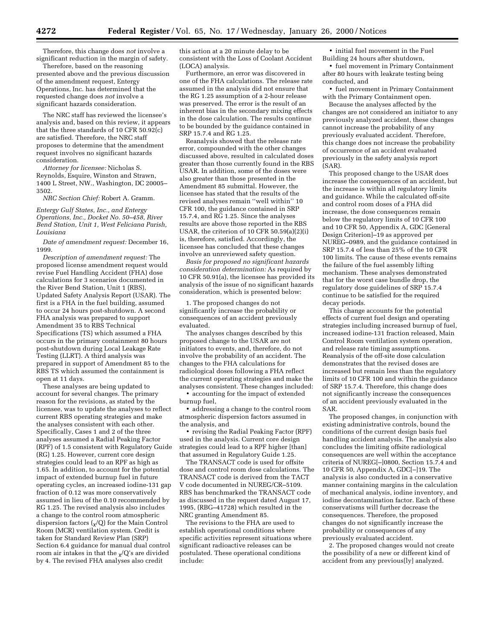Therefore, this change does *not* involve a significant reduction in the margin of safety.

Therefore, based on the reasoning presented above and the previous discussion of the amendment request, Entergy Operations, Inc. has determined that the requested change does *not* involve a significant hazards consideration.

The NRC staff has reviewed the licensee's analysis and, based on this review, it appears that the three standards of 10 CFR 50.92(c) are satisfied. Therefore, the NRC staff proposes to determine that the amendment request involves no significant hazards consideration.

*Attorney for licensee:* Nicholas S. Reynolds, Esquire, Winston and Strawn, 1400 L Street, NW., Washington, DC 20005– 3502.

*NRC Section Chief:* Robert A. Gramm.

*Entergy Gulf States, Inc., and Entergy Operations, Inc., Docket No. 50–458, River Bend Station, Unit 1, West Feliciana Parish, Louisiana*

*Date of amendment request:* December 16, 1999.

*Description of amendment request:* The proposed license amendment request would revise Fuel Handling Accident (FHA) dose calculations for 3 scenarios documented in the River Bend Station, Unit 1 (RBS), Updated Safety Analysis Report (USAR). The first is a FHA in the fuel building, assumed to occur 24 hours post-shutdown. A second FHA analysis was prepared to support Amendment 35 to RBS Technical Specifications (TS) which assumed a FHA occurs in the primary containment 80 hours post-shutdown during Local Leakage Rate Testing (LLRT). A third analysis was prepared in support of Amendment 85 to the RBS TS which assumed the containment is open at 11 days.

These analyses are being updated to account for several changes. The primary reason for the revisions, as stated by the licensee, was to update the analyses to reflect current RBS operating strategies and make the analyses consistent with each other. Specifically, Cases 1 and 2 of the three analyses assumed a Radial Peaking Factor (RPF) of 1.5 consistent with Regulatory Guide (RG) 1.25. However, current core design strategies could lead to an RPF as high as 1.65. In addition, to account for the potential impact of extended burnup fuel in future operating cycles, an increased iodine-131 gap fraction of 0.12 was more conservatively assumed in lieu of the 0.10 recommended by RG 1.25. The revised analysis also includes a change to the control room atmospheric dispersion factors  $\binom{1}{\chi}(Q)$  for the Main Control Room (MCR) ventilation system. Credit is taken for Standard Review Plan (SRP) Section 6.4 guidance for manual dual control room air intakes in that the  $\chi$ /Q's are divided by 4. The revised FHA analyses also credit

this action at a 20 minute delay to be consistent with the Loss of Coolant Accident (LOCA) analysis.

Furthermore, an error was discovered in one of the FHA calculations. The release rate assumed in the analysis did not ensure that the RG 1.25 assumption of a 2-hour release was preserved. The error is the result of an inherent bias in the secondary mixing effects in the dose calculation. The results continue to be bounded by the guidance contained in SRP 15.7.4 and RG 1.25.

Reanalysis showed that the release rate error, compounded with the other changes discussed above, resulted in calculated doses greater than those currently found in the RBS USAR. In addition, some of the doses were also greater than those presented in the Amendment 85 submittal. However, the licensee has stated that the results of the revised analyses remain ''well within'' 10 CFR 100, the guidance contained in SRP 15.7.4, and RG 1.25. Since the analyses results are above those reported in the RBS USAR, the criterion of 10 CFR 50.59(a)(2)(i) is, therefore, satisfied. Accordingly, the licensee has concluded that these changes involve an unreviewed safety question.

*Basis for proposed no significant hazards consideration determination:* As required by 10 CFR 50.91(a), the licensee has provided its analysis of the issue of no significant hazards consideration, which is presented below:

1. The proposed changes do not significantly increase the probability or consequences of an accident previously evaluated.

The analyses changes described by this proposed change to the USAR are not initiators to events, and, therefore, do not involve the probability of an accident. The changes to the FHA calculations for radiological doses following a FHA reflect the current operating strategies and make the analyses consistent. These changes included:

• accounting for the impact of extended burnup fuel,

• addressing a change to the control room atmospheric dispersion factors assumed in the analysis, and

• revising the Radial Peaking Factor (RPF) used in the analysis. Current core design strategies could lead to a RPF higher [than] that assumed in Regulatory Guide 1.25.

The TRANSACT code is used for offsite dose and control room dose calculations. The TRANSACT code is derived from the TACT V code documented in NUREG/CR–5109. RBS has benchmarked the TRANSACT code as discussed in the request dated August 17, 1995, (RBG–41728) which resulted in the NRC granting Amendment 85.

The revisions to the FHA are used to establish operational conditions where specific activities represent situations where significant radioactive releases can be postulated. These operational conditions include:

• initial fuel movement in the Fuel Building 24 hours after shutdown,

• fuel movement in Primary Containment after 80 hours with leakrate testing being conducted, and

• fuel movement in Primary Containment with the Primary Containment open.

Because the analyses affected by the changes are not considered an initiator to any previously analyzed accident, these changes cannot increase the probability of any previously evaluated accident. Therefore, this change does not increase the probability of occurrence of an accident evaluated previously in the safety analysis report (SAR).

This proposed change to the USAR does increase the consequences of an accident, but the increase is within all regulatory limits and guidance. While the calculated off-site and control room doses of a FHA did increase, the dose consequences remain below the regulatory limits of 10 CFR 100 and 10 CFR 50, Appendix A, GDC [General Design Criterion]–19 as approved per NUREG–0989, and the guidance contained in SRP 15.7.4 of less than 25% of the 10 CFR 100 limits. The cause of these events remains the failure of the fuel assembly lifting mechanism. These analyses demonstrated that for the worst case bundle drop, the regulatory dose guidelines of SRP 15.7.4 continue to be satisfied for the required decay periods.

This change accounts for the potential effects of current fuel design and operating strategies including increased burnup of fuel, increased iodine-131 fraction released, Main Control Room ventilation system operation, and release rate timing assumptions. Reanalysis of the off-site dose calculation demonstrates that the revised doses are increased but remain less than the regulatory limits of 10 CFR 100 and within the guidance of SRP 15.7.4. Therefore, this change does not significantly increase the consequences of an accident previously evaluated in the SAR.

The proposed changes, in conjunction with existing administrative controls, bound the conditions of the current design basis fuel handling accident analysis. The analysis also concludes the limiting offsite radiological consequences are well within the acceptance criteria of NUREG[–]0800, Section 15.7.4 and 10 CFR 50, Appendix A, GDC[–]19. The analysis is also conducted in a conservative manner containing margins in the calculation of mechanical analysis, iodine inventory, and iodine decontamination factor. Each of these conservatisms will further decrease the consequences. Therefore, the proposed changes do not significantly increase the probability or consequences of any previously evaluated accident.

2. The proposed changes would not create the possibility of a new or different kind of accident from any previous[ly] analyzed.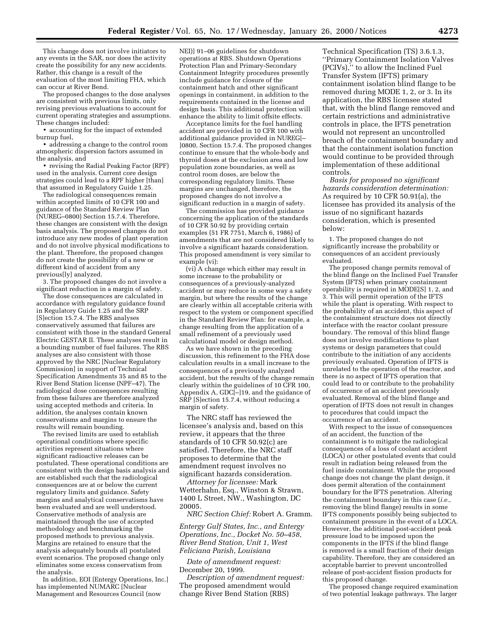This change does not involve initiators to any events in the SAR, nor does the activity create the possibility for any new accidents. Rather, this change is a result of the evaluation of the most limiting FHA, which can occur at River Bend.

The proposed changes to the dose analyses are consistent with previous limits, only revising previous evaluations to account for current operating strategies and assumptions. These changes included:

• accounting for the impact of extended burnup fuel,

• addressing a change to the control room atmospheric dispersion factors assumed in the analysis, and

• revising the Radial Peaking Factor (RPF) used in the analysis. Current core design strategies could lead to a RPF higher [than] that assumed in Regulatory Guide 1.25.

The radiological consequences remain within accepted limits of 10 CFR 100 and guidance of the Standard Review Plan (NUREG–0800) Section 15.7.4. Therefore, these changes are consistent with the design basis analysis. The proposed changes do not introduce any new modes of plant operation and do not involve physical modifications to the plant. Therefore, the proposed changes do not create the possibility of a new or different kind of accident from any previous[ly] analyzed.

3. The proposed changes do not involve a significant reduction in a margin of safety.

The dose consequences are calculated in accordance with regulatory guidance found in Regulatory Guide 1.25 and the SRP [S]ection 15.7.4. The RBS analyses conservatively assumed that failures are consistent with those in the standard General Electric GESTAR II. These analyses result in a bounding number of fuel failures. The RBS analyses are also consistent with those approved by the NRC [Nuclear Regulatory Commission] in support of Technical Specification Amendments 35 and 85 to the River Bend Station license (NPF–47). The radiological dose consequences resulting from these failures are therefore analyzed using accepted methods and criteria. In addition, the analyses contain known conservatisms and margins to ensure the results will remain bounding.

The revised limits are used to establish operational conditions where specific activities represent situations where significant radioactive releases can be postulated. These operational conditions are consistent with the design basis analysis and are established such that the radiological consequences are at or below the current regulatory limits and guidance. Safety margins and analytical conservatisms have been evaluated and are well understood. Conservative methods of analysis are maintained through the use of accepted methodology and benchmarking the proposed methods to previous analysis. Margins are retained to ensure that the analysis adequately bounds all postulated event scenarios. The proposed change only eliminates some excess conservatism from the analysis.

In addition, EOI [Entergy Operations, Inc.] has implemented NUMARC [Nuclear Management and Resources Council (now

NEI)] 91–06 guidelines for shutdown operations at RBS. Shutdown Operations Protection Plan and Primary-Secondary Containment Integrity procedures presently include guidance for closure of the containment hatch and other significant openings in containment, in addition to the requirements contained in the license and design basis. This additional protection will enhance the ability to limit offsite effects.

Acceptance limits for the fuel handling accident are provided in 10 CFR 100 with additional guidance provided in NUREG[– ]0800, Section 15.7.4. The proposed changes continue to ensure that the whole-body and thyroid doses at the exclusion area and low population zone boundaries, as well as control room doses, are below the corresponding regulatory limits. These margins are unchanged, therefore, the proposed changes do not involve a significant reduction in a margin of safety.

The commission has provided guidance concerning the application of the standards of 10 CFR 50.92 by providing certain examples (51 FR 7751, March 6, 1986) of amendments that are not considered likely to involve a significant hazards consideration. This proposed amendment is very similar to example (vi):

(vi) A change which either may result in some increase to the probability or consequences of a previously-analyzed accident or may reduce in some way a safety margin, but where the results of the change are clearly within all acceptable criteria with respect to the system or component specified in the Standard Review Plan: for example, a change resulting from the application of a small refinement of a previously used calculational model or design method.

As we have shown in the preceding discussion, this refinement to the FHA dose calculation results in a small increase to the consequences of a previously analyzed accident, but the results of the change remain clearly within the guidelines of 10 CFR 100, Appendix A, GDC[–]19, and the guidance of SRP [S]ection 15.7.4, without reducing a margin of safety.

The NRC staff has reviewed the licensee's analysis and, based on this review, it appears that the three standards of 10 CFR 50.92(c) are satisfied. Therefore, the NRC staff proposes to determine that the amendment request involves no significant hazards consideration.

*Attorney for licensee:* Mark Wetterhahn, Esq., Winston & Strawn, 1400 L Street, NW., Washington, DC 20005.

*NRC Section Chief:* Robert A. Gramm.

*Entergy Gulf States, Inc., and Entergy Operations, Inc., Docket No. 50–458, River Bend Station, Unit 1, West Feliciana Parish, Louisiana*

*Date of amendment request:* December 20, 1999.

*Description of amendment request:* The proposed amendment would change River Bend Station (RBS)

Technical Specification (TS) 3.6.1.3, ''Primary Containment Isolation Valves (PCIVs),'' to allow the Inclined Fuel Transfer System (IFTS) primary containment isolation blind flange to be removed during MODE 1, 2, or 3. In its application, the RBS licensee stated that, with the blind flange removed and certain restrictions and administrative controls in place, the IFTS penetration would not represent an uncontrolled breach of the containment boundary and that the containment isolation function would continue to be provided through implementation of these additional controls.

*Basis for proposed no significant hazards consideration determination:* As required by 10 CFR 50.91(a), the licensee has provided its analysis of the issue of no significant hazards consideration, which is presented below:

1. The proposed changes do not significantly increase the probability or consequences of an accident previously evaluated.

The proposed change permits removal of the blind flange on the Inclined Fuel Transfer System (IFTS) when primary containment operability is required in MODE[S] 1, 2, and 3. This will permit operation of the IFTS while the plant is operating. With respect to the probability of an accident, this aspect of the containment structure does not directly interface with the reactor coolant pressure boundary. The removal of this blind flange does not involve modifications to plant systems or design parameters that could contribute to the initiation of any accidents previously evaluated. Operation of IFTS is unrelated to the operation of the reactor, and there is no aspect of IFTS operation that could lead to or contribute to the probability of occurrence of an accident previously evaluated. Removal of the blind flange and operation of IFTS does not result in changes to procedures that could impact the occurrence of an accident.

With respect to the issue of consequences of an accident, the function of the containment is to mitigate the radiological consequences of a loss of coolant accident (LOCA) or other postulated events that could result in radiation being released from the fuel inside containment. While the proposed change does not change the plant design, it does permit alteration of the containment boundary for the IFTS penetration. Altering the containment boundary in this case (*i.e.,* removing the blind flange) results in some IFTS components possibly being subjected to containment pressure in the event of a LOCA. However, the additional post-accident peak pressure load to be imposed upon the components in the IFTS if the blind flange is removed is a small fraction of their design capability. Therefore, they are considered an acceptable barrier to prevent uncontrolled release of post-accident fission products for this proposed change.

The proposed change required examination of two potential leakage pathways. The larger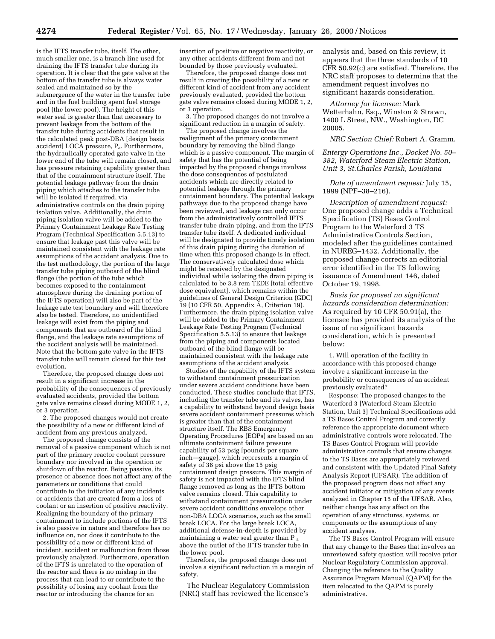is the IFTS transfer tube, itself. The other, much smaller one, is a branch line used for draining the IFTS transfer tube during its operation. It is clear that the gate valve at the bottom of the transfer tube is always water sealed and maintained so by the submergence of the water in the transfer tube and in the fuel building spent fuel storage pool (the lower pool). The height of this water seal is greater than that necessary to prevent leakage from the bottom of the transfer tube during accidents that result in the calculated peak post-DBA [design basis accident] LOCA pressure, Pa. Furthermore, the hydraulically operated gate valve in the lower end of the tube will remain closed, and has pressure retaining capability greater than that of the containment structure itself. The potential leakage pathway from the drain piping which attaches to the transfer tube will be isolated if required, via administrative controls on the drain piping isolation valve. Additionally, the drain piping isolation valve will be added to the Primary Containment Leakage Rate Testing Program (Technical Specification 5.5.13) to ensure that leakage past this valve will be maintained consistent with the leakage rate assumptions of the accident analysis. Due to the test methodology, the portion of the large transfer tube piping outboard of the blind flange (the portion of the tube which becomes exposed to the containment atmosphere during the draining portion of the IFTS operation) will also be part of the leakage rate test boundary and will therefore also be tested. Therefore, no unidentified leakage will exist from the piping and components that are outboard of the blind flange, and the leakage rate assumptions of the accident analysis will be maintained. Note that the bottom gate valve in the IFTS transfer tube will remain closed for this test evolution.

Therefore, the proposed change does not result in a significant increase in the probability of the consequences of previously evaluated accidents, provided the bottom gate valve remains closed during MODE 1, 2, or 3 operation.

2. The proposed changes would not create the possibility of a new or different kind of accident from any previous analyzed.

The proposed change consists of the removal of a passive component which is not part of the primary reactor coolant pressure boundary nor involved in the operation or shutdown of the reactor. Being passive, its presence or absence does not affect any of the parameters or conditions that could contribute to the initiation of any incidents or accidents that are created from a loss of coolant or an insertion of positive reactivity. Realigning the boundary of the primary containment to include portions of the IFTS is also passive in nature and therefore has no influence on, nor does it contribute to the possibility of a new or different kind of incident, accident or malfunction from those previously analyzed. Furthermore, operation of the IFTS is unrelated to the operation of the reactor and there is no mishap in the process that can lead to or contribute to the possibility of losing any coolant from the reactor or introducing the chance for an

insertion of positive or negative reactivity, or any other accidents different from and not bounded by those previously evaluated.

Therefore, the proposed change does not result in creating the possibility of a new or different kind of accident from any accident previously evaluated, provided the bottom gate valve remains closed during MODE 1, 2, or 3 operation.

3. The proposed changes do not involve a significant reduction in a margin of safety.

The proposed change involves the realignment of the primary containment boundary by removing the blind flange which is a passive component. The margin of safety that has the potential of being impacted by the proposed change involves the dose consequences of postulated accidents which are directly related to potential leakage through the primary containment boundary. The potential leakage pathways due to the proposed change have been reviewed, and leakage can only occur from the administratively controlled IFTS transfer tube drain piping, and from the IFTS transfer tube itself. A dedicated individual will be designated to provide timely isolation of this drain piping during the duration of time when this proposed change is in effect. The conservatively calculated dose which might be received by the designated individual while isolating the drain piping is calculated to be 3.8 rem TEDE [total effective dose equivalent], which remains within the guidelines of General Design Criterion (GDC) 19 (10 CFR 50, Appendix A, Criterion 19). Furthermore, the drain piping isolation valve will be added to the Primary Containment Leakage Rate Testing Program (Technical Specification 5.5.13) to ensure that leakage from the piping and components located outboard of the blind flange will be maintained consistent with the leakage rate assumptions of the accident analysis.

Studies of the capability of the IFTS system to withstand containment pressurization under severe accident conditions have been conducted. These studies conclude that IFTS, including the transfer tube and its valves, has a capability to withstand beyond design basis severe accident containment pressures which is greater than that of the containment structure itself. The RBS Emergency Operating Procedures (EOPs) are based on an ultimate containment failure pressure capability of 53 psig [pounds per square inch—gauge], which represents a margin of safety of 38 psi above the 15 psig containment design pressure. This margin of safety is not impacted with the IFTS blind flange removed as long as the IFTS bottom valve remains closed. This capability to withstand containment pressurization under severe accident conditions envelops other non-DBA LOCA scenarios, such as the small break LOCA. For the large break LOCA, additional defense-in-depth is provided by maintaining a water seal greater than P a above the outlet of the IFTS transfer tube in the lower pool.

Therefore, the proposed change does not involve a significant reduction in a margin of safety.

The Nuclear Regulatory Commission (NRC) staff has reviewed the licensee's

analysis and, based on this review, it appears that the three standards of 10 CFR 50.92(c) are satisfied. Therefore, the NRC staff proposes to determine that the amendment request involves no significant hazards consideration.

*Attorney for licensee:* Mark Wetterhahn, Esq., Winston & Strawn, 1400 L Street, NW., Washington, DC 20005.

*NRC Section Chief:* Robert A. Gramm.

*Entergy Operations Inc., Docket No. 50– 382, Waterford Steam Electric Station, Unit 3, St.Charles Parish, Louisiana*

*Date of amendment request:* July 15, 1999 (NPF–38–216).

*Description of amendment request:* One proposed change adds a Technical Specification (TS) Bases Control Program to the Waterford 3 TS Administrative Controls Section, modeled after the guidelines contained in NUREG–1432. Additionally, the proposed change corrects an editorial error identified in the TS following issuance of Amendment 146, dated October 19, 1998.

*Basis for proposed no significant hazards consideration determination:* As required by 10 CFR 50.91(a), the licensee has provided its analysis of the issue of no significant hazards consideration, which is presented below:

1. Will operation of the facility in accordance with this proposed change involve a significant increase in the probability or consequences of an accident previously evaluated?

Response: The proposed changes to the Waterford 3 [Waterford Steam Electric Station, Unit 3] Technical Specifications add a TS Bases Control Program and correctly reference the appropriate document where administrative controls were relocated. The TS Bases Control Program will provide administrative controls that ensure changes to the TS Bases are appropriately reviewed and consistent with the Updated Final Safety Analysis Report (UFSAR). The addition of the proposed program does not affect any accident initiator or mitigation of any events analyzed in Chapter 15 of the UFSAR. Also, neither change has any affect on the operation of any structures, systems, or components or the assumptions of any accident analyses.

The TS Bases Control Program will ensure that any change to the Bases that involves an unreviewed safety question will receive prior Nuclear Regulatory Commission approval. Changing the reference to the Quality Assurance Program Manual (QAPM) for the item relocated to the QAPM is purely administrative.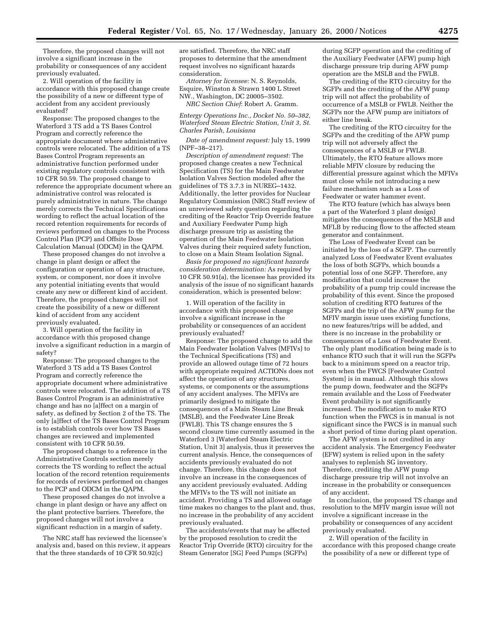Therefore, the proposed changes will not involve a significant increase in the probability or consequences of any accident previously evaluated.

2. Will operation of the facility in accordance with this proposed change create the possibility of a new or different type of accident from any accident previously evaluated?

Response: The proposed changes to the Waterford 3 TS add a TS Bases Control Program and correctly reference the appropriate document where administrative controls were relocated. The addition of a TS Bases Control Program represents an administrative function performed under existing regulatory controls consistent with 10 CFR 50.59. The proposed change to reference the appropriate document where an administrative control was relocated is purely administrative in nature. The change merely corrects the Technical Specifications wording to reflect the actual location of the record retention requirements for records of reviews performed on changes to the Process Control Plan (PCP) and Offsite Dose Calculation Manual (ODCM) in the QAPM.

These proposed changes do not involve a change in plant design or affect the configuration or operation of any structure, system, or component, nor does it involve any potential initiating events that would create any new or different kind of accident. Therefore, the proposed changes will not create the possibility of a new or different kind of accident from any accident previously evaluated.

3. Will operation of the facility in accordance with this proposed change involve a significant reduction in a margin of safety?

Response: The proposed changes to the Waterford 3 TS add a TS Bases Control Program and correctly reference the appropriate document where administrative controls were relocated. The addition of a TS Bases Control Program is an administrative change and has no [a]ffect on a margin of safety, as defined by Section 2 of the TS. The only [a]ffect of the TS Bases Control Program is to establish controls over how TS Bases changes are reviewed and implemented consistent with 10 CFR 50.59.

The proposed change to a reference in the Administrative Controls section merely corrects the TS wording to reflect the actual location of the record retention requirements for records of reviews performed on changes to the PCP and ODCM in the QAPM.

These proposed changes do not involve a change in plant design or have any affect on the plant protective barriers. Therefore, the proposed changes will not involve a significant reduction in a margin of safety.

The NRC staff has reviewed the licensee's analysis and, based on this review, it appears that the three standards of 10 CFR 50.92(c)

are satisfied. Therefore, the NRC staff proposes to determine that the amendment request involves no significant hazards consideration.

*Attorney for licensee:* N. S. Reynolds, Esquire, Winston & Strawn 1400 L Street NW., Washington, DC 20005–3502.

*NRC Section Chief*: Robert A. Gramm. *Entergy Operations Inc., Docket No. 50–382,*

*Waterford Steam Electric Station, Unit 3, St. Charles Parish, Louisiana*

*Date of amendment request:* July 15, 1999 (NPF–38–217).

*Description of amendment request:* The proposed change creates a new Technical Specification (TS) for the Main Feedwater Isolation Valves Section modeled after the guidelines of TS 3.7.3 in NUREG–1432. Additionally, the letter provides for Nuclear Regulatory Commission (NRC) Staff review of an unreviewed safety question regarding the crediting of the Reactor Trip Override feature and Auxiliary Feedwater Pump high discharge pressure trip as assisting the operation of the Main Feedwater Isolation Valves during their required safety function, to close on a Main Steam Isolation Signal.

*Basis for proposed no significant hazards consideration determination:* As required by 10 CFR 50.91(a), the licensee has provided its analysis of the issue of no significant hazards consideration, which is presented below:

1. Will operation of the facility in accordance with this proposed change involve a significant increase in the probability or consequences of an accident previously evaluated?

Response: The proposed change to add the Main Feedwater Isolation Valves (MFIVs) to the Technical Specifications (TS) and provide an allowed outage time of 72 hours with appropriate required ACTIONs does not affect the operation of any structures, systems, or components or the assumptions of any accident analyses. The MFIVs are primarily designed to mitigate the consequences of a Main Steam Line Break (MSLB), and the Feedwater Line Break (FWLB). This TS change ensures the 5 second closure time currently assumed in the Waterford 3 [Waterford Steam Electric Station, Unit 3] analysis, thus it preserves the current analysis. Hence, the consequences of accidents previously evaluated do not change. Therefore, this change does not involve an increase in the consequences of any accident previously evaluated. Adding the MFIVs to the TS will not initiate an accident. Providing a TS and allowed outage time makes no changes to the plant and, thus, no increase in the probability of any accident previously evaluated.

The accidents/events that may be affected by the proposed resolution to credit the Reactor Trip Override (RTO) circuitry for the Steam Generator [SG] Feed Pumps (SGFPs)

during SGFP operation and the crediting of the Auxiliary Feedwater (AFW) pump high discharge pressure trip during AFW pump operation are the MSLB and the FWLB.

The crediting of the RTO circuitry for the SGFPs and the crediting of the AFW pump trip will not affect the probability of occurrence of a MSLB or FWLB. Neither the SGFPs nor the AFW pump are initiators of either line break.

The crediting of the RTO circuitry for the SGFPs and the crediting of the AFW pump trip will not adversely affect the consequences of a MSLB or FWLB. Ultimately, the RTO feature allows more reliable MFIV closure by reducing the differential pressure against which the MFIVs must close while not introducing a new failure mechanism such as a Loss of Feedwater or water hammer event.

The RTO feature (which has always been a part of the Waterford 3 plant design) mitigates the consequences of the MSLB and MFLB by reducing flow to the affected steam generator and containment.

The Loss of Feedwater Event can be initiated by the loss of a SGFP. The currently analyzed Loss of Feedwater Event evaluates the loss of both SGFPs, which bounds a potential loss of one SGFP. Therefore, any modification that could increase the probability of a pump trip could increase the probability of this event. Since the proposed solution of crediting RTO features of the SGFPs and the trip of the AFW pump for the MFIV margin issue uses existing functions, no new features/trips will be added, and there is no increase in the probability or consequences of a Loss of Feedwater Event. The only plant modification being made is to enhance RTO such that it will run the SGFPs back to a minimum speed on a reactor trip, even when the FWCS [Feedwater Control System] is in manual. Although this slows the pump down, feedwater and the SGFPs remain available and the Loss of Feedwater Event probability is not significantly increased. The modification to make RTO function when the FWCS is in manual is not significant since the FWCS is in manual such a short period of time during plant operation.

The AFW system is not credited in any accident analysis. The Emergency Feedwater (EFW) system is relied upon in the safety analyses to replenish SG inventory. Therefore, crediting the AFW pump discharge pressure trip will not involve an increase in the probability or consequences of any accident.

In conclusion, the proposed TS change and resolution to the MFIV margin issue will not involve a significant increase in the probability or consequences of any accident previously evaluated.

2. Will operation of the facility in accordance with this proposed change create the possibility of a new or different type of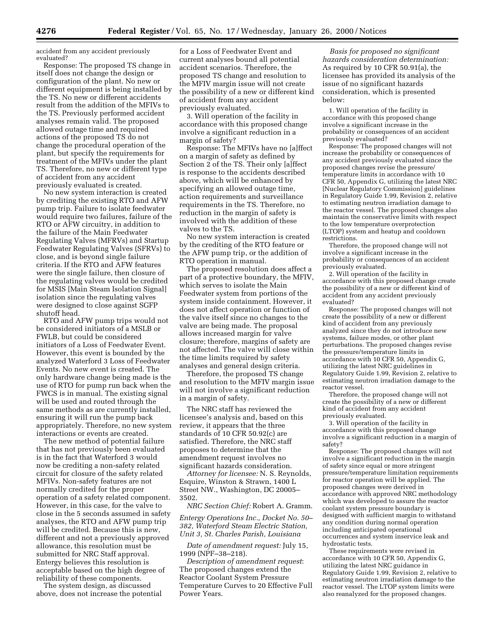accident from any accident previously evaluated?

Response: The proposed TS change in itself does not change the design or configuration of the plant. No new or different equipment is being installed by the TS. No new or different accidents result from the addition of the MFIVs to the TS. Previously performed accident analyses remain valid. The proposed allowed outage time and required actions of the proposed TS do not change the procedural operation of the plant, but specify the requirements for treatment of the MFIVs under the plant TS. Therefore, no new or different type of accident from any accident previously evaluated is created.

No new system interaction is created by crediting the existing RTO and AFW pump trip. Failure to isolate feedwater would require two failures, failure of the RTO or AFW circuitry, in addition to the failure of the Main Feedwater Regulating Valves (MFRVs) and Startup Feedwater Regulating Valves (SFRVs) to close, and is beyond single failure criteria. If the RTO and AFW features were the single failure, then closure of the regulating valves would be credited for MSIS [Main Steam Isolation Signal] isolation since the regulating valves were designed to close against SGFP shutoff head.

RTO and AFW pump trips would not be considered initiators of a MSLB or FWLB, but could be considered initiators of a Loss of Feedwater Event. However, this event is bounded by the analyzed Waterford 3 Loss of Feedwater Events. No new event is created. The only hardware change being made is the use of RTO for pump run back when the FWCS is in manual. The existing signal will be used and routed through the same methods as are currently installed, ensuring it will run the pump back appropriately. Therefore, no new system interactions or events are created.

The new method of potential failure that has not previously been evaluated is in the fact that Waterford 3 would now be crediting a non-safety related circuit for closure of the safety related MFIVs. Non-safety features are not normally credited for the proper operation of a safety related component. However, in this case, for the valve to close in the 5 seconds assumed in safety analyses, the RTO and AFW pump trip will be credited. Because this is new, different and not a previously approved allowance, this resolution must be submitted for NRC Staff approval. Entergy believes this resolution is acceptable based on the high degree of reliability of these components.

The system design, as discussed above, does not increase the potential

for a Loss of Feedwater Event and current analyses bound all potential accident scenarios. Therefore, the proposed TS change and resolution to the MFIV margin issue will not create the possibility of a new or different kind of accident from any accident previously evaluated.

3. Will operation of the facility in accordance with this proposed change involve a significant reduction in a margin of safety?

Response: The MFIVs have no [a]ffect on a margin of safety as defined by Section 2 of the TS. Their only [a]ffect is response to the accidents described above, which will be enhanced by specifying an allowed outage time, action requirements and surveillance requirements in the TS. Therefore, no reduction in the margin of safety is involved with the addition of these valves to the TS.

No new system interaction is created by the crediting of the RTO feature or the AFW pump trip, or the addition of RTO operation in manual.

The proposed resolution does affect a part of a protective boundary, the MFIV, which serves to isolate the Main Feedwater system from portions of the system inside containment. However, it does not affect operation or function of the valve itself since no changes to the valve are being made. The proposal allows increased margin for valve closure; therefore, margins of safety are not affected. The valve will close within the time limits required by safety analyses and general design criteria.

Therefore, the proposed TS change and resolution to the MFIV margin issue will not involve a significant reduction in a margin of safety.

The NRC staff has reviewed the licensee's analysis and, based on this review, it appears that the three standards of 10 CFR 50.92(c) are satisfied. Therefore, the NRC staff proposes to determine that the amendment request involves no significant hazards consideration.

*Attorney for licensee:* N. S. Reynolds, Esquire, Winston & Strawn, 1400 L Street NW., Washington, DC 20005– 3502.

*NRC Section Chief:* Robert A. Gramm.

*Entergy Operations Inc., Docket No. 50– 382, Waterford Steam Electric Station, Unit 3, St. Charles Parish, Louisiana*

*Date of amendment request:* July 15, 1999 (NPF–38–218).

*Description of amendment request*: The proposed changes extend the Reactor Coolant System Pressure Temperature Curves to 20 Effective Full Power Years.

*Basis for proposed no significant hazards consideration determination:* As required by 10 CFR 50.91(a), the licensee has provided its analysis of the issue of no significant hazards consideration, which is presented below:

1. Will operation of the facility in accordance with this proposed change involve a significant increase in the probability or consequences of an accident previously evaluated?

Response: The proposed changes will not increase the probability or consequences of any accident previously evaluated since the proposed changes revise the pressure/ temperature limits in accordance with 10 CFR 50, Appendix G, utilizing the latest NRC [Nuclear Regulatory Commission] guidelines in Regulatory Guide 1.99, Revision 2, relative to estimating neutron irradiation damage to the reactor vessel. The proposed changes also maintain the conservative limits with respect to the low temperature overprotection (LTOP) system and heatup and cooldown restrictions.

Therefore, the proposed change will not involve a significant increase in the probability or consequences of an accident previously evaluated.

2. Will operation of the facility in accordance with this proposed change create the possibility of a new or different kind of accident from any accident previously evaluated?

Response: The proposed changes will not create the possibility of a new or different kind of accident from any previously analyzed since they do not introduce new systems, failure modes, or other plant perturbations. The proposed changes revise the pressure/temperature limits in accordance with 10 CFR 50, Appendix G, utilizing the latest NRC guidelines in Regulatory Guide 1.99, Revision 2, relative to estimating neutron irradiation damage to the reactor vessel.

Therefore, the proposed change will not create the possibility of a new or different kind of accident from any accident previously evaluated.

3. Will operation of the facility in accordance with this proposed change involve a significant reduction in a margin of safety?

Response: The proposed changes will not involve a significant reduction in the margin of safety since equal or more stringent pressure/temperature limitation requirements for reactor operation will be applied. The proposed changes were derived in accordance with approved NRC methodology which was developed to assure the reactor coolant system pressure boundary is designed with sufficient margin to withstand any condition during normal operation including anticipated operational occurrences and system inservice leak and hydrostatic tests.

These requirements were revised in accordance with 10 CFR 50, Appendix G, utilizing the latest NRC guidance in Regulatory Guide 1.99, Revision 2, relative to estimating neutron irradiation damage to the reactor vessel. The LTOP system limits were also reanalyzed for the proposed changes.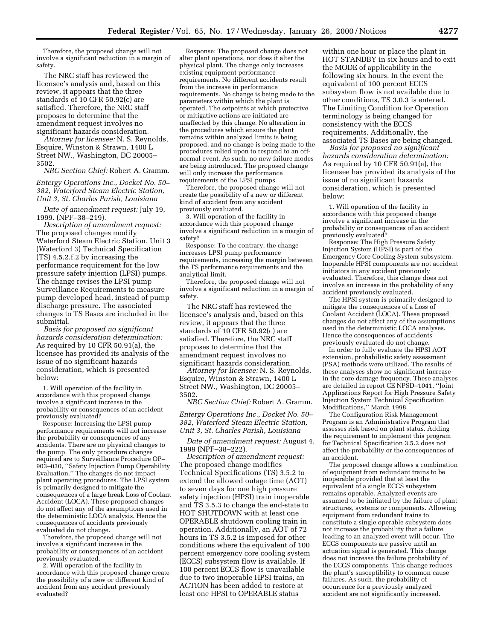Therefore, the proposed change will not involve a significant reduction in a margin of safety.

The NRC staff has reviewed the licensee's analysis and, based on this review, it appears that the three standards of 10 CFR 50.92(c) are satisfied. Therefore, the NRC staff proposes to determine that the amendment request involves no significant hazards consideration.

*Attorney for licensee:* N. S. Reynolds, Esquire, Winston & Strawn, 1400 L Street NW., Washington, DC 20005– 3502.

*NRC Section Chief:* Robert A. Gramm.

*Entergy Operations Inc., Docket No. 50– 382, Waterford Steam Electric Station, Unit 3, St. Charles Parish, Louisiana*

*Date of amendment request:* July 19, 1999. (NPF–38–219).

*Description of amendment request:* The proposed changes modify Waterford Steam Electric Station, Unit 3 (Waterford 3) Technical Specification (TS) 4.5.2.f.2 by increasing the performance requirement for the low pressure safety injection (LPSI) pumps. The change revises the LPSI pump Surveillance Requirements to measure pump developed head, instead of pump discharge pressure. The associated changes to TS Bases are included in the submittal.

*Basis for proposed no significant hazards consideration determination:* As required by 10 CFR 50.91(a), the licensee has provided its analysis of the issue of no significant hazards consideration, which is presented below:

1. Will operation of the facility in accordance with this proposed change involve a significant increase in the probability or consequences of an accident previously evaluated?

Response: Increasing the LPSI pump performance requirements will not increase the probability or consequences of any accidents. There are no physical changes to the pump. The only procedure changes required are to Surveillance Procedure OP– 903–030, ''Safety Injection Pump Operability Evaluation.'' The changes do not impact plant operating procedures. The LPSI system is primarily designed to mitigate the consequences of a large break Loss of Coolant Accident (LOCA). These proposed changes do not affect any of the assumptions used in the deterministic LOCA analysis. Hence the consequences of accidents previously evaluated do not change.

Therefore, the proposed change will not involve a significant increase in the probability or consequences of an accident previously evaluated.

2. Will operation of the facility in accordance with this proposed change create the possibility of a new or different kind of accident from any accident previously evaluated?

Response: The proposed change does not alter plant operations, nor does it alter the physical plant. The change only increases existing equipment performance requirements. No different accidents result from the increase in performance requirements. No change is being made to the parameters within which the plant is operated. The setpoints at which protective or mitigative actions are initiated are unaffected by this change. No alteration in the procedures which ensure the plant remains within analyzed limits is being proposed, and no change is being made to the procedures relied upon to respond to an offnormal event. As such, no new failure modes are being introduced. The proposed change will only increase the performance requirements of the LPSI pumps.

Therefore, the proposed change will not create the possibility of a new or different kind of accident from any accident previously evaluated.

3. Will operation of the facility in accordance with this proposed change involve a significant reduction in a margin of safety?

Response: To the contrary, the change increases LPSI pump performance requirements, increasing the margin between the TS performance requirements and the analytical limit.

Therefore, the proposed change will not involve a significant reduction in a margin of safety.

The NRC staff has reviewed the licensee's analysis and, based on this review, it appears that the three standards of 10 CFR 50.92(c) are satisfied. Therefore, the NRC staff proposes to determine that the amendment request involves no significant hazards consideration.

*Attorney for licensee:* N. S. Reynolds, Esquire, Winston & Strawn, 1400 L Street NW., Washington, DC 20005– 3502.

*NRC Section Chief:* Robert A. Gramm.

*Entergy Operations Inc., Docket No. 50– 382, Waterford Steam Electric Station, Unit 3, St. Charles Parish, Louisiana*

*Date of amendment request:* August 4, 1999 (NPF–38–222).

*Description of amendment request:* The proposed change modifies Technical Specifications (TS) 3.5.2 to extend the allowed outage time (AOT) to seven days for one high pressure safety injection (HPSI) train inoperable and TS 3.5.3 to change the end-state to HOT SHUTDOWN with at least one OPERABLE shutdown cooling train in operation. Additionally, an AOT of 72 hours in TS 3.5.2 is imposed for other conditions where the equivalent of 100 percent emergency core cooling system (ECCS) subsystem flow is available. If 100 percent ECCS flow is unavailable due to two inoperable HPSI trains, an ACTION has been added to restore at least one HPSI to OPERABLE status

within one hour or place the plant in HOT STANDBY in six hours and to exit the MODE of applicability in the following six hours. In the event the equivalent of 100 percent ECCS subsystem flow is not available due to other conditions, TS 3.0.3 is entered. The Limiting Condition for Operation terminology is being changed for consistency with the ECCS requirements. Additionally, the associated TS Bases are being changed.

*Basis for proposed no significant hazards consideration determination:* As required by 10 CFR 50.91(a), the licensee has provided its analysis of the issue of no significant hazards consideration, which is presented below:

1. Will operation of the facility in accordance with this proposed change involve a significant increase in the probability or consequences of an accident previously evaluated?

Response: The High Pressure Safety Injection System (HPSI) is part of the Emergency Core Cooling System subsystem. Inoperable HPSI components are not accident initiators in any accident previously evaluated. Therefore, this change does not involve an increase in the probability of any accident previously evaluated.

The HPSI system is primarily designed to mitigate the consequences of a Loss of Coolant Accident (LOCA). These proposed changes do not affect any of the assumptions used in the deterministic LOCA analyses. Hence the consequences of accidents previously evaluated do not change.

In order to fully evaluate the HPSI AOT extension, probabilistic safety assessment (PSA) methods were utilized. The results of these analyses show no significant increase in the core damage frequency. These analyses are detailed in report CE NPSD–1041, ''Joint Applications Report for High Pressure Safety Injection System Technical Specification Modifications,'' March 1998.

The Configuration Risk Management Program is an Administrative Program that assesses risk based on plant status. Adding the requirement to implement this program for Technical Specification 3.5.2 does not affect the probability or the consequences of an accident.

The proposed change allows a combination of equipment from redundant trains to be inoperable provided that at least the equivalent of a single ECCS subsystem remains operable. Analyzed events are assumed to be initiated by the failure of plant structures, systems or components. Allowing equipment from redundant trains to constitute a single operable subsystem does not increase the probability that a failure leading to an analyzed event will occur. The ECCS components are passive until an actuation signal is generated. This change does not increase the failure probability of the ECCS components. This change reduces the plant's susceptibility to common cause failures. As such, the probability of occurrence for a previously analyzed accident are not significantly increased.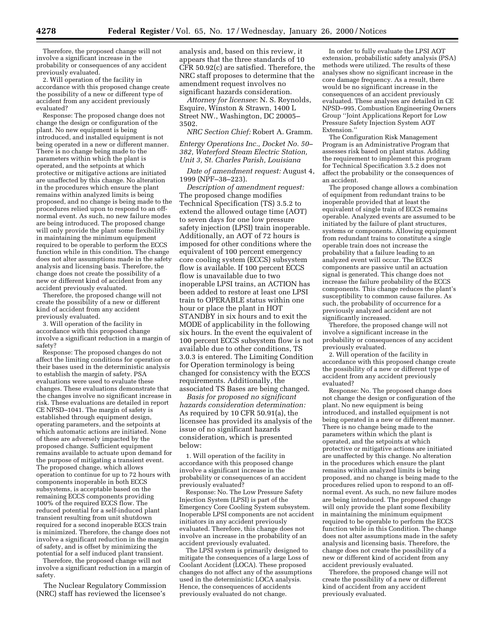Therefore, the proposed change will not involve a significant increase in the probability or consequences of any accident previously evaluated.

2. Will operation of the facility in accordance with this proposed change create the possibility of a new or different type of accident from any accident previously evaluated?

Response: The proposed change does not change the design or configuration of the plant. No new equipment is being introduced, and installed equipment is not being operated in a new or different manner. There is no change being made to the parameters within which the plant is operated, and the setpoints at which protective or mitigative actions are initiated are unaffected by this change. No alteration in the procedures which ensure the plant remains within analyzed limits is being proposed, and no change is being made to the procedures relied upon to respond to an offnormal event. As such, no new failure modes are being introduced. The proposed change will only provide the plant some flexibility in maintaining the minimum equipment required to be operable to perform the ECCS function while in this condition. The change does not alter assumptions made in the safety analysis and licensing basis. Therefore, the change does not create the possibility of a new or different kind of accident from any accident previously evaluated.

Therefore, the proposed change will not create the possibility of a new or different kind of accident from any accident previously evaluated.

3. Will operation of the facility in accordance with this proposed change involve a significant reduction in a margin of safety?

Response: The proposed changes do not affect the limiting conditions for operation or their bases used in the deterministic analysis to establish the margin of safety. PSA evaluations were used to evaluate these changes. These evaluations demonstrate that the changes involve no significant increase in risk. These evaluations are detailed in report CE NPSD–1041. The margin of safety is established through equipment design, operating parameters, and the setpoints at which automatic actions are initiated. None of these are adversely impacted by the proposed change. Sufficient equipment remains available to actuate upon demand for the purpose of mitigating a transient event. The proposed change, which allows operation to continue for up to 72 hours with components inoperable in both ECCS subsystems, is acceptable based on the remaining ECCS components providing 100% of the required ECCS flow. The reduced potential for a self-induced plant transient resulting from unit shutdown required for a second inoperable ECCS train is minimized. Therefore, the change does not involve a significant reduction in the margin of safety, and is offset by minimizing the potential for a self induced plant transient.

Therefore, the proposed change will not involve a significant reduction in a margin of safety.

The Nuclear Regulatory Commission (NRC) staff has reviewed the licensee's

analysis and, based on this review, it appears that the three standards of 10 CFR 50.92(c) are satisfied. Therefore, the NRC staff proposes to determine that the amendment request involves no significant hazards consideration.

*Attorney for licensee*: N. S. Reynolds, Esquire, Winston & Strawn, 1400 L Street NW., Washington, DC 20005– 3502.

*NRC Section Chief:* Robert A. Gramm.

*Entergy Operations Inc., Docket No. 50– 382, Waterford Steam Electric Station, Unit 3, St. Charles Parish, Louisiana*

*Date of amendment request:* August 4, 1999 (NPF–38–223).

*Description of amendment request:* The proposed change modifies Technical Specification (TS) 3.5.2 to extend the allowed outage time (AOT) to seven days for one low pressure safety injection (LPSI) train inoperable. Additionally, an AOT of 72 hours is imposed for other conditions where the equivalent of 100 percent emergency core cooling system (ECCS) subsystem flow is available. If 100 percent ECCS flow is unavailable due to two inoperable LPSI trains, an ACTION has been added to restore at least one LPSI train to OPERABLE status within one hour or place the plant in HOT STANDBY in six hours and to exit the MODE of applicability in the following six hours. In the event the equivalent of 100 percent ECCS subsystem flow is not available due to other conditions, TS 3.0.3 is entered. The Limiting Condition for Operation terminology is being changed for consistency with the ECCS requirements. Additionally, the associated TS Bases are being changed.

*Basis for proposed no significant hazards consideration determination:* As required by 10 CFR 50.91(a), the licensee has provided its analysis of the issue of no significant hazards consideration, which is presented below:

1. Will operation of the facility in accordance with this proposed change involve a significant increase in the probability or consequences of an accident previously evaluated?

Response: No. The Low Pressure Safety Injection System (LPSI) is part of the Emergency Core Cooling System subsystem. Inoperable LPSI components are not accident initiators in any accident previously evaluated. Therefore, this change does not involve an increase in the probability of an accident previously evaluated.

The LPSI system is primarily designed to mitigate the consequences of a large Loss of Coolant Accident (LOCA). These proposed changes do not affect any of the assumptions used in the deterministic LOCA analysis. Hence, the consequences of accidents previously evaluated do not change.

In order to fully evaluate the LPSI AOT extension, probabilistic safety analysis (PSA) methods were utilized. The results of these analyses show no significant increase in the core damage frequency. As a result, there would be no significant increase in the consequences of an accident previously evaluated. These analyses are detailed in CE NPSD–995, Combustion Engineering Owners Group ''Joint Applications Report for Low Pressure Safety Injection System AOT Extension.''

The Configuration Risk Management Program is an Administrative Program that assesses risk based on plant status. Adding the requirement to implement this program for Technical Specification 3.5.2 does not affect the probability or the consequences of an accident.

The proposed change allows a combination of equipment from redundant trains to be inoperable provided that at least the equivalent of single train of ECCS remains operable. Analyzed events are assumed to be initiated by the failure of plant structures, systems or components. Allowing equipment from redundant trains to constitute a single operable train does not increase the probability that a failure leading to an analyzed event will occur. The ECCS components are passive until an actuation signal is generated. This change does not increase the failure probability of the ECCS components. This change reduces the plant's susceptibility to common cause failures. As such, the probability of occurrence for a previously analyzed accident are not significantly increased.

Therefore, the proposed change will not involve a significant increase in the probability or consequences of any accident previously evaluated.

2. Will operation of the facility in accordance with this proposed change create the possibility of a new or different type of accident from any accident previously evaluated?

Response: No. The proposed change does not change the design or configuration of the plant. No new equipment is being introduced, and installed equipment is not being operated in a new or different manner. There is no change being made to the parameters within which the plant is operated, and the setpoints at which protective or mitigative actions are initiated are unaffected by this change. No alteration in the procedures which ensure the plant remains within analyzed limits is being proposed, and no change is being made to the procedures relied upon to respond to an offnormal event. As such, no new failure modes are being introduced. The proposed change will only provide the plant some flexibility in maintaining the minimum equipment required to be operable to perform the ECCS function while in this Condition. The change does not alter assumptions made in the safety analysis and licensing basis. Therefore, the change does not create the possibility of a new or different kind of accident from any accident previously evaluated.

Therefore, the proposed change will not create the possibility of a new or different kind of accident from any accident previously evaluated.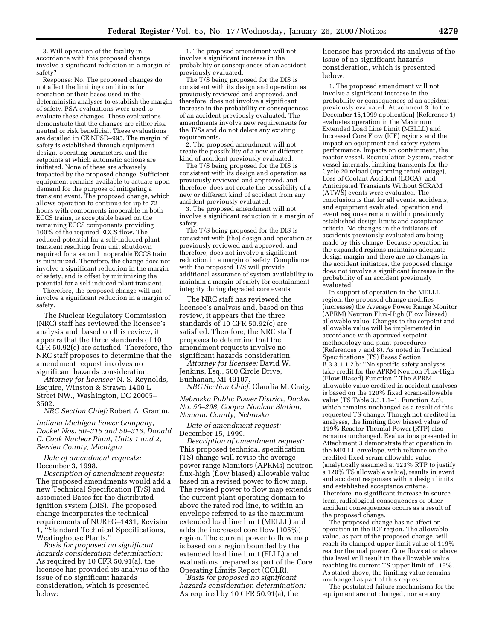3. Will operation of the facility in accordance with this proposed change involve a significant reduction in a margin of safety?

Response: No. The proposed changes do not affect the limiting conditions for operation or their bases used in the deterministic analyses to establish the margin of safety. PSA evaluations were used to evaluate these changes. These evaluations demonstrate that the changes are either risk neutral or risk beneficial. These evaluations are detailed in CE NPSD–995. The margin of safety is established through equipment design, operating parameters, and the setpoints at which automatic actions are initiated. None of these are adversely impacted by the proposed change. Sufficient equipment remains available to actuate upon demand for the purpose of mitigating a transient event. The proposed change, which allows operation to continue for up to 72 hours with components inoperable in both ECCS trains, is acceptable based on the remaining ECCS components providing 100% of the required ECCS flow. The reduced potential for a self-induced plant transient resulting from unit shutdown required for a second inoperable ECCS train is minimized. Therefore, the change does not involve a significant reduction in the margin of safety, and is offset by minimizing the potential for a self induced plant transient.

Therefore, the proposed change will not involve a significant reduction in a margin of safety.

The Nuclear Regulatory Commission (NRC) staff has reviewed the licensee's analysis and, based on this review, it appears that the three standards of 10 CFR 50.92(c) are satisfied. Therefore, the NRC staff proposes to determine that the amendment request involves no significant hazards consideration.

*Attorney for licensee:* N. S. Reynolds, Esquire, Winston & Strawn 1400 L Street NW., Washington, DC 20005– 3502.

*NRC Section Chief:* Robert A. Gramm.

*Indiana Michigan Power Company, Docket Nos. 50–315 and 50–316, Donald C. Cook Nuclear Plant, Units 1 and 2, Berrien County, Michigan*

*Date of amendment requests:* December 3, 1998.

*Description of amendment requests:* The proposed amendments would add a new Technical Specification (T/S) and associated Bases for the distributed ignition system (DIS). The proposed change incorporates the technical requirements of NUREG–1431, Revision 1, ''Standard Technical Specifications, Westinghouse Plants.''

*Basis for proposed no significant hazards consideration determination:* As required by 10 CFR 50.91(a), the licensee has provided its analysis of the issue of no significant hazards consideration, which is presented below:

1. The proposed amendment will not involve a significant increase in the probability or consequences of an accident previously evaluated.

The T/S being proposed for the DIS is consistent with its design and operation as previously reviewed and approved, and therefore, does not involve a significant increase in the probability or consequences of an accident previously evaluated. The amendments involve new requirements for the T/Ss and do not delete any existing requirements.

2. The proposed amendment will not create the possibility of a new or different kind of accident previously evaluated.

The T/S being proposed for the DIS is consistent with its design and operation as previously reviewed and approved, and therefore, does not create the possibility of a new or different kind of accident from any accident previously evaluated.

3. The proposed amendment will not involve a significant reduction in a margin of safety.

The T/S being proposed for the DIS is consistent with [the] design and operation as previously reviewed and approved, and therefore, does not involve a significant reduction in a margin of safety. Compliance with the proposed T/S will provide additional assurance of system availability to maintain a margin of safety for containment integrity during degraded core events.

The NRC staff has reviewed the licensee's analysis and, based on this review, it appears that the three standards of 10 CFR 50.92(c) are satisfied. Therefore, the NRC staff proposes to determine that the amendment requests involve no significant hazards consideration.

*Attorney for licensee:* David W. Jenkins, Esq., 500 Circle Drive, Buchanan, MI 49107.

*NRC Section Chief:* Claudia M. Craig.

*Nebraska Public Power District, Docket No. 50–298, Cooper Nuclear Station, Nemaha County, Nebraska*

*Date of amendment request:* December 15, 1999.

*Description of amendment request:* This proposed technical specification (TS) change will revise the average power range Monitors (APRMs) neutron flux-high (flow biased) allowable value based on a revised power to flow map. The revised power to flow map extends the current plant operating domain to above the rated rod line, to within an envelope referred to as the maximum extended load line limit (MELLL) and adds the increased core flow (105%) region. The current power to flow map is based on a region bounded by the extended load line limit (ELLL) and evaluations prepared as part of the Core Operating Limits Report (COLR).

*Basis for proposed no significant hazards consideration determination:* As required by 10 CFR 50.91(a), the

licensee has provided its analysis of the issue of no significant hazards consideration, which is presented below:

1. The proposed amendment will not involve a significant increase in the probability or consequences of an accident previously evaluated. Attachment 3 [to the December 15,1999 application] (Reference 1) evaluates operation in the Maximum Extended Load Line Limit (MELLL) and Increased Core Flow (ICF) regions and the impact on equipment and safety system performance. Impacts on containment, the reactor vessel, Recirculation System, reactor vessel internals, limiting transients for the Cycle 20 reload (upcoming refuel outage), Loss of Coolant Accident (LOCA), and Anticipated Transients Without SCRAM (ATWS) events were evaluated. The conclusion is that for all events, accidents, and equipment evaluated, operation and event response remain within previously established design limits and acceptance criteria. No changes in the initiators of accidents previously evaluated are being made by this change. Because operation in the expanded regions maintains adequate design margin and there are no changes in the accident initiators, the proposed change does not involve a significant increase in the probability of an accident previously evaluated.

In support of operation in the MELLL region, the proposed change modifies (increases) the Average Power Range Monitor (APRM) Neutron Flux-High (Flow Biased) allowable value. Changes to the setpoint and allowable value will be implemented in accordance with approved setpoint methodology and plant procedures (References 7 and 8). As noted in Technical Specifications (TS) Bases Section B.3.3.1.1.2.b: ''No specific safety analyses take credit for the APRM Neutron Flux-High (Flow Biased) Function.'' The APRM allowable value credited in accident analyses is based on the 120% fixed scram-allowable value (TS Table 3.3.1.1–1, Function 2.c), which remains unchanged as a result of this requested TS change. Though not credited in analyses, the limiting flow biased value of 119% Reactor Thermal Power (RTP) also remains unchanged. Evaluations presented in Attachment 3 demonstrate that operation in the MELLL envelope, with reliance on the credited fixed scram allowable value (analytically assumed at 123% RTP to justify a 120% TS allowable value), results in event and accident responses within design limits and established acceptance criteria. Therefore, no significant increase in source term, radiological consequences or other accident consequences occurs as a result of the proposed change.

The proposed change has no affect on operation in the ICF region. The allowable value, as part of the proposed change, will reach its clamped upper limit value of 119% reactor thermal power. Core flows at or above this level will result in the allowable value reaching its current TS upper limit of 119%. As stated above, the limiting value remains unchanged as part of this request.

The postulated failure mechanisms for the equipment are not changed, nor are any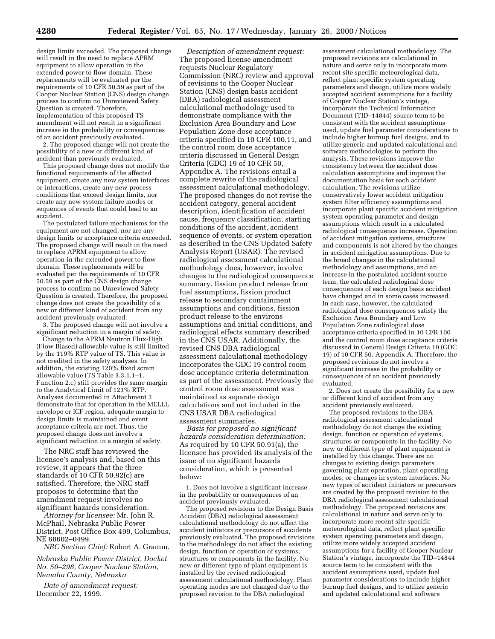design limits exceeded. The proposed change will result in the need to replace APRM equipment to allow operation in the extended power to flow domain. These replacements will be evaluated per the requirements of 10 CFR 50.59 as part of the Cooper Nuclear Station (CNS) design change process to confirm no Unreviewed Safety Question is created. Therefore, implementation of this proposed TS amendment will not result in a significant increase in the probability or consequences of an accident previously evaluated.

2. The proposed change will not create the possibility of a new or different kind of accident than previously evaluated.

This proposed change does not modify the functional requirements of the affected equipment, create any new system interfaces or interactions, create any new process conditions that exceed design limits, nor create any new system failure modes or sequences of events that could lead to an accident.

The postulated failure mechanisms for the equipment are not changed, nor are any design limits or acceptance criteria exceeded. The proposed change will result in the need to replace APRM equipment to allow operation in the extended power to flow domain. These replacements will be evaluated per the requirements of 10 CFR 50.59 as part of the CNS design change process to confirm no Unreviewed Safety Question is created. Therefore, the proposed change does not create the possibility of a new or different kind of accident from any accident previously evaluated.

3. The proposed change will not involve a significant reduction in a margin of safety.

Change to the APRM Neutron Flux-High (Flow Biased) allowable value is still limited by the 119% RTP value of TS. This value is not credited in the safety analyses. In addition, the existing 120% fixed scram allowable value (TS Table 3.3.1.1–1, Function 2.c) still provides the same margin to the Analytical Limit of 123% RTP. Analyses documented in Attachment 3 demonstrate that for operation in the MELLL envelope or ICF region, adequate margin to design limits is maintained and event acceptance criteria are met. Thus, the proposed change does not involve a significant reduction in a margin of safety.

The NRC staff has reviewed the licensee's analysis and, based on this review, it appears that the three standards of 10 CFR 50.92(c) are satisfied. Therefore, the NRC staff proposes to determine that the amendment request involves no significant hazards consideration.

*Attorney for licensee:* Mr. John R. McPhail, Nebraska Public Power District, Post Office Box 499, Columbus, NE 68602–0499.

*NRC Section Chief:* Robert A. Gramm.

*Nebraska Public Power District, Docket No. 50–298, Cooper Nuclear Station, Nemaha County, Nebraska*

*Date of amendment request:* December 22, 1999.

*Description of amendment request:* The proposed license amendment requests Nuclear Regulatory Commission (NRC) review and approval of revisions to the Cooper Nuclear Station (CNS) design basis accident (DBA) radiological assessment calculational methodology used to demonstrate compliance with the Exclusion Area Boundary and Low Population Zone dose acceptance criteria specified in 10 CFR 100.11, and the control room dose acceptance criteria discussed in General Design Criteria (GDC) 19 of 10 CFR 50, Appendix A. The revisions entail a complete rewrite of the radiological assessment calculational methodology. The proposed changes do not revise the accident category, general accident description, identification of accident cause, frequency classification, starting conditions of the accident, accident sequence of events, or system operation as described in the CNS Updated Safety Analysis Report (USAR). The revised radiological assessment calculational methodology does, however, involve changes to the radiological consequence summary, fission product release from fuel assumptions, fission product release to secondary containment assumptions and conditions, fission product release to the environs assumptions and initial conditions, and radiological effects summary described in the CNS USAR. Additionally, the revised CNS DBA radiological assessment calculational methodology incorporates the GDC 19 control room dose acceptance criteria determination as part of the assessment. Previously the control room dose assessment was maintained as separate design calculations and not included in the CNS USAR DBA radiological assessment summaries.

*Basis for proposed no significant hazards consideration determination:* As required by 10 CFR 50.91(a), the licensee has provided its analysis of the issue of no significant hazards consideration, which is presented below:

1. Does not involve a significant increase in the probability or consequences of an accident previously evaluated.

The proposed revisions to the Design Basis Accident (DBA) radiological assessment calculational methodology do not affect the accident initiators or precursors of accidents previously evaluated. The proposed revisions to the methodology do not affect the existing design, function or operation of systems, structures or components in the facility. No new or different type of plant equipment is installed by the revised radiological assessment calculational methodology. Plant operating modes are not changed due to the proposed revision to the DBA radiological

assessment calculational methodology. The proposed revisions are calculational in nature and serve only to incorporate more recent site specific meteorological data, reflect plant specific system operating parameters and design, utilize more widely accepted accident assumptions for a facility of Cooper Nuclear Station's vintage, incorporate the Technical Information Document (TID–14844) source term to be consistent with the accident assumptions used, update fuel parameter considerations to include higher burnup fuel designs, and to utilize generic and updated calculational and software methodologies to perform the analysis. These revisions improve the consistency between the accident dose calculation assumptions and improve the documentation basis for each accident calculation. The revisions utilize conservatively lower accident mitigation system filter efficiency assumptions and incorporate plant specific accident mitigation system operating parameter and design assumptions which result in a calculated radiological consequence increase. Operation of accident mitigation systems, structures and components is not altered by the changes in accident mitigation assumptions. Due to the broad changes in the calculational methodology and assumptions, and an increase in the postulated accident source term, the calculated radiological dose consequences of each design basis accident have changed and in some cases increased. In each case, however, the calculated radiological dose consequences satisfy the Exclusion Area Boundary and Low Population Zone radiological dose acceptance criteria specified in 10 CFR 100 and the control room dose acceptance criteria discussed in General Design Criteria 19 (GDC 19) of 10 CFR 50, Appendix A. Therefore, the proposed revisions do not involve a significant increase in the probability or consequences of an accident previously evaluated.

2. Does not create the possibility for a new or different kind of accident from any accident previously evaluated.

The proposed revisions to the DBA radiological assessment calculational methodology do not change the existing design, function or operation of systems, structures or components in the facility. No new or different type of plant equipment is installed by this change. There are no changes to existing design parameters governing plant operation, plant operating modes, or changes in system interfaces. No new types of accident initiators or precursors are created by the proposed revision to the DBA radiological assessment calculational methodology. The proposed revisions are calculational in nature and serve only to incorporate more recent site specific meteorological data, reflect plant specific system operating parameters and design, utilize more widely accepted accident assumptions for a facility of Cooper Nuclear Station's vintage, incorporate the TID–14844 source term to be consistent with the accident assumptions used, update fuel parameter considerations to include higher burnup fuel designs, and to utilize generic and updated calculational and software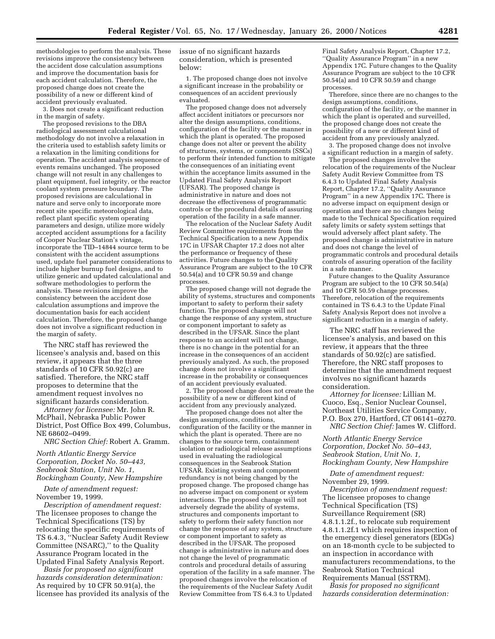methodologies to perform the analysis. These revisions improve the consistency between the accident dose calculation assumptions and improve the documentation basis for each accident calculation. Therefore, the proposed change does not create the possibility of a new or different kind of accident previously evaluated.

3. Does not create a significant reduction in the margin of safety.

The proposed revisions to the DBA radiological assessment calculational methodology do not involve a relaxation in the criteria used to establish safety limits or a relaxation in the limiting conditions for operation. The accident analysis sequence of events remains unchanged. The proposed change will not result in any challenges to plant equipment, fuel integrity, or the reactor coolant system pressure boundary. The proposed revisions are calculational in nature and serve only to incorporate more recent site specific meteorological data, reflect plant specific system operating parameters and design, utilize more widely accepted accident assumptions for a facility of Cooper Nuclear Station's vintage, incorporate the TID–14844 source term to be consistent with the accident assumptions used, update fuel parameter considerations to include higher burnup fuel designs, and to utilize generic and updated calculational and software methodologies to perform the analysis. These revisions improve the consistency between the accident dose calculation assumptions and improve the documentation basis for each accident calculation. Therefore, the proposed change does not involve a significant reduction in the margin of safety.

The NRC staff has reviewed the licensee's analysis and, based on this review, it appears that the three standards of 10 CFR 50.92(c) are satisfied. Therefore, the NRC staff proposes to determine that the amendment request involves no significant hazards consideration.

*Attorney for licensee:* Mr. John R. McPhail, Nebraska Public Power District, Post Office Box 499, Columbus, NE 68602–0499.

*NRC Section Chief:* Robert A. Gramm.

*North Atlantic Energy Service Corporation, Docket No. 50–443, Seabrook Station, Unit No. 1, Rockingham County, New Hampshire*

*Date of amendment request:* November 19, 1999.

*Description of amendment request:* The licensee proposes to change the Technical Specifications (TS) by relocating the specific requirements of TS 6.4.3, ''Nuclear Safety Audit Review Committee (NSARC),'' to the Quality Assurance Program located in the Updated Final Safety Analysis Report.

*Basis for proposed no significant hazards consideration determination:* As required by 10 CFR 50.91(a), the licensee has provided its analysis of the issue of no significant hazards consideration, which is presented below:

1. The proposed change does not involve a significant increase in the probability or consequences of an accident previously evaluated.

The proposed change does not adversely affect accident initiators or precursors nor alter the design assumptions, conditions, configuration of the facility or the manner in which the plant is operated. The proposed change does not alter or prevent the ability of structures, systems, or components (SSCs) to perform their intended function to mitigate the consequences of an initiating event within the acceptance limits assumed in the Updated Final Safety Analysis Report (UFSAR). The proposed change is administrative in nature and does not decrease the effectiveness of programmatic controls or the procedural details of assuring operation of the facility in a safe manner.

The relocation of the Nuclear Safety Audit Review Committee requirements from the Technical Specification to a new Appendix 17C in UFSAR Chapter 17.2 does not alter the performance or frequency of these activities. Future changes to the Quality Assurance Program are subject to the 10 CFR 50.54(a) and 10 CFR 50.59 and change processes.

The proposed change will not degrade the ability of systems, structures and components important to safety to perform their safety function. The proposed change will not change the response of any system, structure or component important to safety as described in the UFSAR. Since the plant response to an accident will not change, there is no change in the potential for an increase in the consequences of an accident previously analyzed. As such, the proposed change does not involve a significant increase in the probability or consequences of an accident previously evaluated.

2. The proposed change does not create the possibility of a new or different kind of accident from any previously analyzed.

The proposed change does not alter the design assumptions, conditions, configuration of the facility or the manner in which the plant is operated. There are no changes to the source term, containment isolation or radiological release assumptions used in evaluating the radiological consequences in the Seabrook Station UFSAR. Existing system and component redundancy is not being changed by the proposed change. The proposed change has no adverse impact on component or system interactions. The proposed change will not adversely degrade the ability of systems, structures and components important to safety to perform their safety function nor change the response of any system, structure or component important to safety as described in the UFSAR. The proposed change is administrative in nature and does not change the level of programmatic controls and procedural details of assuring operation of the facility in a safe manner. The proposed changes involve the relocation of the requirements of the Nuclear Safety Audit Review Committee from TS 6.4.3 to Updated

Final Safety Analysis Report, Chapter 17.2, ''Quality Assurance Program'' in a new Appendix 17C. Future changes to the Quality Assurance Program are subject to the 10 CFR 50.54(a) and 10 CFR 50.59 and change processes.

Therefore, since there are no changes to the design assumptions, conditions, configuration of the facility, or the manner in which the plant is operated and surveilled, the proposed change does not create the possibility of a new or different kind of accident from any previously analyzed.

3. The proposed change does not involve a significant reduction in a margin of safety.

The proposed changes involve the relocation of the requirements of the Nuclear Safety Audit Review Committee from TS 6.4.3 to Updated Final Safety Analysis Report, Chapter 17.2, ''Quality Assurance Program'' in a new Appendix 17C. There is no adverse impact on equipment design or operation and there are no changes being made to the Technical Specification required safety limits or safety system settings that would adversely affect plant safety. The proposed change is administrative in nature and does not change the level of programmatic controls and procedural details controls of assuring operation of the facility in a safe manner.

Future changes to the Quality Assurance Program are subject to the 10 CFR 50.54(a) and 10 CFR 50.59 change processes. Therefore, relocation of the requirements contained in TS 6.4.3 to the Update Final Safety Analysis Report does not involve a significant reduction in a margin of safety.

The NRC staff has reviewed the licensee's analysis, and based on this review, it appears that the three standards of 50.92(c) are satisfied. Therefore, the NRC staff proposes to determine that the amendment request involves no significant hazards consideration.

*Attorney for licensee:* Lillian M. Cuoco, Esq., Senior Nuclear Counsel, Northeast Utilities Service Company, P.O. Box 270, Hartford, CT 06141–0270. *NRC Section Chief:* James W. Clifford.

*North Atlantic Energy Service Corporation, Docket No. 50–443, Seabrook Station, Unit No. 1, Rockingham County, New Hampshire*

*Date of amendment request:* November 29, 1999.

*Description of amendment request:* The licensee proposes to change Technical Specification (TS) Surveillance Requirement (SR) 4.8.1.1.2f., to relocate sub requirement 4.8.1.1.2f.1 which requires inspection of the emergency diesel generators (EDGs) on an 18-month cycle to be subjected to an inspection in accordance with manufacturers recommendations, to the Seabrook Station Technical Requirements Manual (SSTRM).

*Basis for proposed no significant hazards consideration determination:*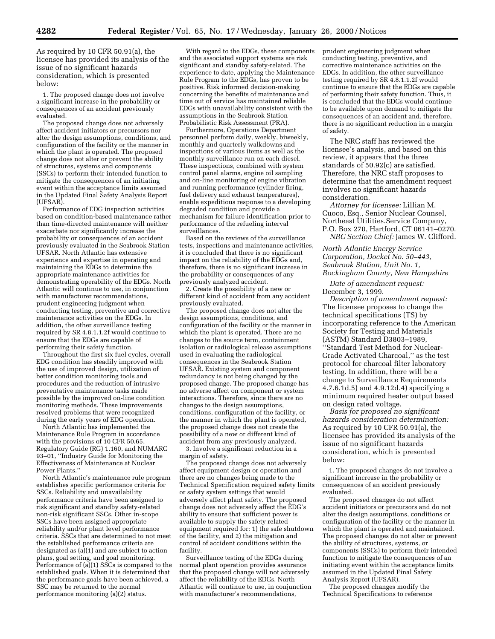As required by 10 CFR 50.91(a), the licensee has provided its analysis of the issue of no significant hazards consideration, which is presented below:

1. The proposed change does not involve a significant increase in the probability or consequences of an accident previously evaluated.

The proposed change does not adversely affect accident initiators or precursors nor alter the design assumptions, conditions, and configuration of the facility or the manner in which the plant is operated. The proposed change does not alter or prevent the ability of structures, systems and components (SSCs) to perform their intended function to mitigate the consequences of an initiating event within the acceptance limits assumed in the Updated Final Safety Analysis Report (UFSAR).

Performance of EDG inspection activities based on condition-based maintenance rather than time-directed maintenance will neither exacerbate nor significantly increase the probability or consequences of an accident previously evaluated in the Seabrook Station UFSAR. North Atlantic has extensive experience and expertise in operating and maintaining the EDGs to determine the appropriate maintenance activities for demonstrating operability of the EDGs. North Atlantic will continue to use, in conjunction with manufacturer recommendations, prudent engineering judgment when conducting testing, preventive and corrective maintenance activities on the EDGs. In addition, the other surveillance testing required by SR 4.8.1.1.2f would continue to ensure that the EDGs are capable of performing their safety function.

Throughout the first six fuel cycles, overall EDG condition has steadily improved with the use of improved design, utilization of better condition monitoring tools and procedures and the reduction of intrusive preventative maintenance tasks made possible by the improved on-line condition monitoring methods. These improvements resolved problems that were recognized during the early years of EDG operation.

North Atlantic has implemented the Maintenance Rule Program in accordance with the provisions of 10 CFR 50.65, Regulatory Guide (RG) 1.160, and NUMARC 93–01, ''Industry Guide for Monitoring the Effectiveness of Maintenance at Nuclear Power Plants.''

North Atlantic's maintenance rule program establishes specific performance criteria for SSCs. Reliability and unavailability performance criteria have been assigned to risk significant and standby safety-related non-risk significant SSCs. Other in-scope SSCs have been assigned appropriate reliability and/or plant level performance criteria. SSCs that are determined to not meet the established performance criteria are designated as  $(a)(1)$  and are subject to action plans, goal setting, and goal monitoring. Performance of (a)(1) SSCs is compared to the established goals. When it is determined that the performance goals have been achieved, a SSC may be returned to the normal performance monitoring (a)(2) status.

With regard to the EDGs, these components and the associated support systems are risk significant and standby safety-related. The experience to date, applying the Maintenance Rule Program to the EDGs, has proven to be positive. Risk informed decision-making concerning the benefits of maintenance and time out of service has maintained reliable EDGs with unavailability consistent with the assumptions in the Seabrook Station Probabilistic Risk Assessment (PRA).

Furthermore, Operations Department personnel perform daily, weekly, biweekly, monthly and quarterly walkdowns and inspections of various items as well as the monthly surveillance run on each diesel. These inspections, combined with system control panel alarms, engine oil sampling and on-line monitoring of engine vibration and running performance (cylinder firing, fuel delivery and exhaust temperatures), enable expeditious response to a developing degraded condition and provide a mechanism for failure identification prior to performance of the refueling interval surveillances.

Based on the reviews of the surveillance tests, inspections and maintenance activities, it is concluded that there is no significant impact on the reliability of the EDGs and, therefore, there is no significant increase in the probability or consequences of any previously analyzed accident.

2. Create the possibility of a new or different kind of accident from any accident previously evaluated.

The proposed change does not alter the design assumptions, conditions, and configuration of the facility or the manner in which the plant is operated. There are no changes to the source term, containment isolation or radiological release assumptions used in evaluating the radiological consequences in the Seabrook Station UFSAR. Existing system and component redundancy is not being changed by the proposed change. The proposed change has no adverse affect on component or system interactions. Therefore, since there are no changes to the design assumptions, conditions, configuration of the facility, or the manner in which the plant is operated, the proposed change does not create the possibility of a new or different kind of accident from any previously analyzed.

3. Involve a significant reduction in a margin of safety.

The proposed change does not adversely affect equipment design or operation and there are no changes being made to the Technical Specification required safety limits or safety system settings that would adversely affect plant safety. The proposed change does not adversely affect the EDG's ability to ensure that sufficient power is available to supply the safety related equipment required for: 1) the safe shutdown of the facility, and 2) the mitigation and control of accident conditions within the facility.

Surveillance testing of the EDGs during normal plant operation provides assurance that the proposed change will not adversely affect the reliability of the EDGs. North Atlantic will continue to use, in conjunction with manufacturer's recommendations,

prudent engineering judgment when conducting testing, preventive, and corrective maintenance activities on the EDGs. In addition, the other surveillance testing required by SR 4.8.1.1.2f would continue to ensure that the EDGs are capable of performing their safety function. Thus, it is concluded that the EDGs would continue to be available upon demand to mitigate the consequences of an accident and, therefore, there is no significant reduction in a margin of safety.

The NRC staff has reviewed the licensee's analysis, and based on this review, it appears that the three standards of 50.92(c) are satisfied. Therefore, the NRC staff proposes to determine that the amendment request involves no significant hazards consideration.

*Attorney for licensee:* Lillian M. Cuoco, Esq., Senior Nuclear Counsel, Northeast Utilities.Service Company, P.O. Box 270, Hartford, CT 06141–0270. *NRC Section Chief:* James W. Clifford.

*North Atlantic Energy Service Corporation, Docket No. 50–443, Seabrook Station, Unit No. 1, Rockingham County, New Hampshire*

*Date of amendment request:* December 3, 1999.

*Description of amendment request:* The licensee proposes to change the technical specifications (TS) by incorporating reference to the American Society for Testing and Materials (ASTM) Standard D3803–1989, ''Standard Test Method for Nuclear-Grade Activated Charcoal,'' as the test protocol for charcoal filter laboratory testing. In addition, there will be a change to Surveillance Requirements 4.7.6.1d.5) and 4.9.12d.4) specifying a minimum required heater output based on design rated voltage.

*Basis for proposed no significant hazards consideration determination:* As required by 10 CFR 50.91(a), the licensee has provided its analysis of the issue of no significant hazards consideration, which is presented below:

1. The proposed changes do not involve a significant increase in the probability or consequences of an accident previously evaluated.

The proposed changes do not affect accident initiators or precursors and do not alter the design assumptions, conditions or configuration of the facility or the manner in which the plant is operated and maintained. The proposed changes do not alter or prevent the ability of structures, systems, or components (SSCs) to perform their intended function to mitigate the consequences of an initiating event within the acceptance limits assumed in the Updated Final Safety Analysis Report (UFSAR).

The proposed changes modify the Technical Specifications to reference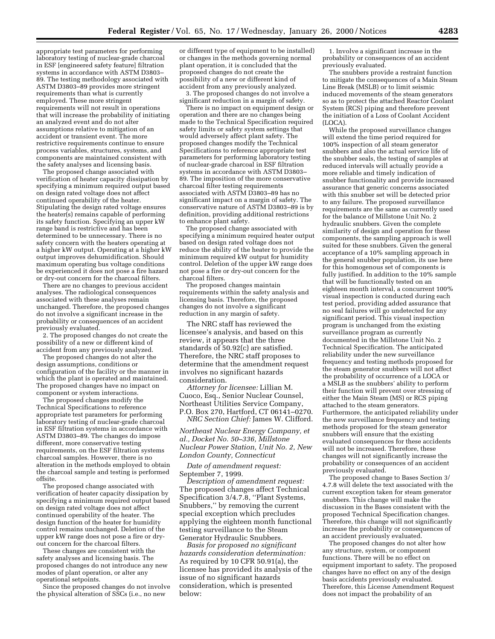appropriate test parameters for performing laboratory testing of nuclear-grade charcoal in ESF [engineered safety feature] filtration systems in accordance with ASTM D3803– 89. The testing methodology associated with ASTM D3803–89 provides more stringent requirements than what is currently employed. These more stringent requirements will not result in operations that will increase the probability of initiating an analyzed event and do not alter assumptions relative to mitigation of an accident or transient event. The more restrictive requirements continue to ensure process variables, structures, systems, and components are maintained consistent with the safety analyses and licensing basis.

The proposed change associated with verification of heater capacity dissipation by specifying a minimum required output based on design rated voltage does not affect continued operability of the heater. Stipulating the design rated voltage ensures the heater(s) remains capable of performing its safety function. Specifying an upper kW range band is restrictive and has been determined to be unnecessary. There is no safety concern with the heaters operating at a higher kW output. Operating at a higher kW output improves dehumidification. Should maximum operating bus voltage conditions be experienced it does not pose a fire hazard or dry-out concern for the charcoal filters.

There are no changes to previous accident analyses. The radiological consequences associated with these analyses remain unchanged. Therefore, the proposed changes do not involve a significant increase in the probability or consequences of an accident previously evaluated.

2. The proposed changes do not create the possibility of a new or different kind of accident from any previously analyzed.

The proposed changes do not alter the design assumptions, conditions or configuration of the facility or the manner in which the plant is operated and maintained. The proposed changes have no impact on component or system interactions.

The proposed changes modify the Technical Specifications to reference appropriate test parameters for performing laboratory testing of nuclear-grade charcoal in ESF filtration systems in accordance with ASTM D3803–89. The changes do impose different, more conservative testing requirements, on the ESF filtration systems charcoal samples. However, there is no alteration in the methods employed to obtain the charcoal sample and testing is performed offsite.

The proposed change associated with verification of heater capacity dissipation by specifying a minimum required output based on design rated voltage does not affect continued operability of the heater. The design function of the heater for humidity control remains unchanged. Deletion of the upper kW range does not pose a fire or dryout concern for the charcoal filters.

These changes are consistent with the safety analyses and licensing basis. The proposed changes do not introduce any new modes of plant operation, or alter any operational setpoints.

Since the proposed changes do not involve the physical alteration of SSCs (i.e., no new

or different type of equipment to be installed) or changes in the methods governing normal plant operation, it is concluded that the proposed changes do not create the possibility of a new or different kind of accident from any previously analyzed.

3. The proposed changes do not involve a significant reduction in a margin of safety.

There is no impact on equipment design or operation and there are no changes being made to the Technical Specification required safety limits or safety system settings that would adversely affect plant safety. The proposed changes modify the Technical Specifications to reference appropriate test parameters for performing laboratory testing of nuclear-grade charcoal in ESF filtration systems in accordance with ASTM D3803– 89. The imposition of the more conservative charcoal filter testing requirements associated with ASTM D3803–89 has no significant impact on a margin of safety. The conservative nature of ASTM D3803–89 is by definition, providing additional restrictions to enhance plant safety.

The proposed change associated with specifying a minimum required heater output based on design rated voltage does not reduce the ability of the heater to provide the minimum required kW output for humidity control. Deletion of the upper kW range does not pose a fire or dry-out concern for the charcoal filters.

The proposed changes maintain requirements within the safety analysis and licensing basis. Therefore, the proposed changes do not involve a significant reduction in any margin of safety.

The NRC staff has reviewed the licensee's analysis, and based on this review, it appears that the three standards of 50.92(c) are satisfied. Therefore, the NRC staff proposes to determine that the amendment request involves no significant hazards consideration.

*Attorney for licensee:* Lillian M. Cuoco, Esq., Senior Nuclear Counsel, Northeast Utilities Service Company, P.O. Box 270, Hartford, CT 06141–0270. *NRC Section Chief:* James W. Clifford.

*Northeast Nuclear Energy Company, et al., Docket No. 50–336, Millstone Nuclear Power Station, Unit No. 2, New London County, Connecticut*

*Date of amendment request:* September 7, 1999.

*Description of amendment request:* The proposed changes affect Technical Specification 3/4.7.8, ''Plant Systems, Snubbers,'' by removing the current special exception which precludes applying the eighteen month functional testing surveillance to the Steam Generator Hydraulic Snubbers.

*Basis for proposed no significant hazards consideration determination:* As required by 10 CFR 50.91(a), the licensee has provided its analysis of the issue of no significant hazards consideration, which is presented below:

1. Involve a significant increase in the probability or consequences of an accident previously evaluated.

The snubbers provide a restraint function to mitigate the consequences of a Main Steam Line Break (MSLB) or to limit seismic induced movements of the steam generators so as to protect the attached Reactor Coolant System (RCS) piping and therefore prevent the initiation of a Loss of Coolant Accident (LOCA).

While the proposed surveillance changes will extend the time period required for 100% inspection of all steam generator snubbers and also the actual service life of the snubber seals, the testing of samples at reduced intervals will actually provide a more reliable and timely indication of snubber functionality and provide increased assurance that generic concerns associated with this snubber set will be detected prior to any failure. The proposed surveillance requirements are the same as currently used for the balance of Millstone Unit No. 2 hydraulic snubbers. Given the complete similarity of design and operation for these components, the sampling approach is well suited for these snubbers. Given the general acceptance of a 10% sampling approach in the general snubber population, its use here for this homogenous set of components is fully justified. In addition to the 10% sample that will be functionally tested on an eighteen month interval, a concurrent 100% visual inspection is conducted during each test period, providing added assurance that no seal failures will go undetected for any significant period. This visual inspection program is unchanged from the existing surveillance program as currently documented in the Millstone Unit No. 2 Technical Specification. The anticipated reliability under the new surveillance frequency and testing methods proposed for the steam generator snubbers will not affect the probability of occurrence of a LOCA or a MSLB as the snubbers' ability to perform their function will prevent over stressing of either the Main Steam (MS) or RCS piping attached to the steam generators. Furthermore, the anticipated reliability under the new surveillance frequency and testing methods proposed for the steam generator snubbers will ensure that the existing evaluated consequences for these accidents will not be increased. Therefore, these changes will not significantly increase the probability or consequences of an accident previously evaluated.

The proposed change to Bases Section 3/ 4.7.8 will delete the text associated with the current exception taken for steam generator snubbers. This change will make the discussion in the Bases consistent with the proposed Technical Specification changes. Therefore, this change will not significantly increase the probability or consequences of an accident previously evaluated.

The proposed changes do not alter how any structure, system, or component functions. There will be no effect on equipment important to safety. The proposed changes have no effect on any of the design basis accidents previously evaluated. Therefore, this License Amendment Request does not impact the probability of an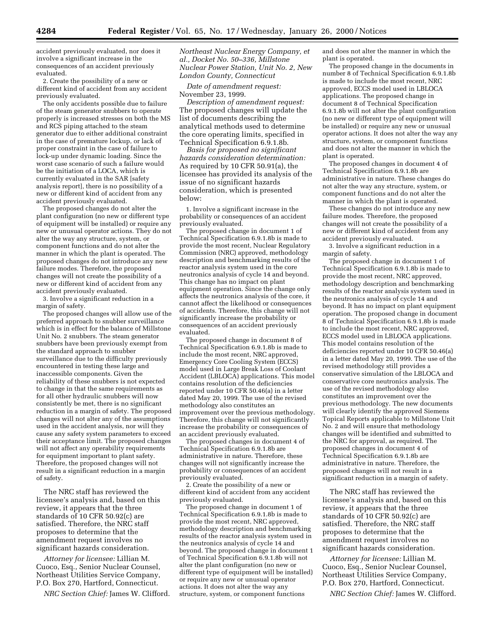accident previously evaluated, nor does it involve a significant increase in the consequences of an accident previously evaluated.

2. Create the possibility of a new or different kind of accident from any accident previously evaluated.

The only accidents possible due to failure of the steam generator snubbers to operate properly is increased stresses on both the MS and RCS piping attached to the steam generator due to either additional constraint in the case of premature lockup, or lack of proper constraint in the case of failure to lock-up under dynamic loading. Since the worst case scenario of such a failure would be the initiation of a LOCA, which is currently evaluated in the SAR [safety analysis report], there is no possibility of a new or different kind of accident from any accident previously evaluated.

The proposed changes do not alter the plant configuration (no new or different type of equipment will be installed) or require any new or unusual operator actions. They do not alter the way any structure, system, or component functions and do not alter the manner in which the plant is operated. The proposed changes do not introduce any new failure modes. Therefore, the proposed changes will not create the possibility of a new or different kind of accident from any accident previously evaluated.

3. Involve a significant reduction in a margin of safety.

The proposed changes will allow use of the preferred approach to snubber surveillance which is in effect for the balance of Millstone Unit No. 2 snubbers. The steam generator snubbers have been previously exempt from the standard approach to snubber surveillance due to the difficulty previously encountered in testing these large and inaccessible components. Given the reliability of these snubbers is not expected to change in that the same requirements as for all other hydraulic snubbers will now consistently be met, there is no significant reduction in a margin of safety. The proposed changes will not alter any of the assumptions used in the accident analysis, nor will they cause any safety system parameters to exceed their acceptance limit. The proposed changes will not affect any operability requirements for equipment important to plant safety. Therefore, the proposed changes will not result in a significant reduction in a margin of safety.

The NRC staff has reviewed the licensee's analysis and, based on this review, it appears that the three standards of 10 CFR 50.92(c) are satisfied. Therefore, the NRC staff proposes to determine that the amendment request involves no significant hazards consideration.

*Attorney for licensee:* Lillian M. Cuoco, Esq., Senior Nuclear Counsel, Northeast Utilities Service Company, P.O. Box 270, Hartford, Connecticut.

*NRC Section Chief:* James W. Clifford.

*Northeast Nuclear Energy Company, et al., Docket No. 50–336, Millstone Nuclear Power Station, Unit No. 2, New London County, Connecticut*

*Date of amendment request:* November 23, 1999.

*Description of amendment request:* The proposed changes will update the list of documents describing the analytical methods used to determine the core operating limits, specified in Technical Specification 6.9.1.8b.

*Basis for proposed no significant hazards consideration determination:* As required by 10 CFR 50.91(a), the licensee has provided its analysis of the issue of no significant hazards consideration, which is presented below:

1. Involve a significant increase in the probability or consequences of an accident previously evaluated.

The proposed change in document 1 of Technical Specification 6.9.1.8b is made to provide the most recent, Nuclear Regulatory Commission (NRC) approved, methodology description and benchmarking results of the reactor analysis system used in the core neutronics analysis of cycle 14 and beyond. This change has no impact on plant equipment operation. Since the change only affects the neutronics analysis of the core, it cannot affect the likelihood or consequences of accidents. Therefore, this change will not significantly increase the probability or consequences of an accident previously evaluated.

The proposed change in document 8 of Technical Specification 6.9.1.8b is made to include the most recent, NRC approved, Emergency Core Cooling System (ECCS) model used in Large Break Loss of Coolant Accident (LBLOCA) applications. This model contains resolution of the deficiencies reported under 10 CFR 50.46(a) in a letter dated May 20, 1999. The use of the revised methodology also constitutes an improvement over the previous methodology. Therefore, this change will not significantly increase the probability or consequences of an accident previously evaluated.

The proposed changes in document 4 of Technical Specification 6.9.1.8b are administrative in nature. Therefore, these changes will not significantly increase the probability or consequences of an accident previously evaluated.

2. Create the possibility of a new or different kind of accident from any accident previously evaluated.

The proposed change in document 1 of Technical Specification 6.9.1.8b is made to provide the most recent, NRC approved, methodology description and benchmarking results of the reactor analysis system used in the neutronics analysis of cycle 14 and beyond. The proposed change in document 1 of Technical Specification 6.9.1.8b will not alter the plant configuration (no new or different type of equipment will be installed) or require any new or unusual operator actions. It does not alter the way any structure, system, or component functions

and does not alter the manner in which the plant is operated.

The proposed change in the documents in number 8 of Technical Specification 6.9.1.8b is made to include the most recent, NRC approved, ECCS model used in LBLOCA applications. The proposed change in document 8 of Technical Specification 6.9.1.8b will not alter the plant configuration (no new or different type of equipment will be installed) or require any new or unusual operator actions. It does not alter the way any structure, system, or component functions and does not alter the manner in which the plant is operated.

The proposed changes in document 4 of Technical Specification 6.9.1.8b are administrative in nature. These changes do not alter the way any structure, system, or component functions and do not alter the manner in which the plant is operated.

These changes do not introduce any new failure modes. Therefore, the proposed changes will not create the possibility of a new or different kind of accident from any accident previously evaluated.

3. Involve a significant reduction in a margin of safety.

The proposed change in document 1 of Technical Specification 6.9.1.8b is made to provide the most recent, NRC approved, methodology description and benchmarking results of the reactor analysis system used in the neutronics analysis of cycle 14 and beyond. It has no impact on plant equipment operation. The proposed change in document 8 of Technical Specification 6.9.1.8b is made to include the most recent, NRC approved, ECCS model used in LBLOCA applications. This model contains resolution of the deficiencies reported under 10 CFR 50.46(a) in a letter dated May 20, 1999. The use of the revised methodology still provides a conservative simulation of the LBLOCA and conservative core neutronics analysis. The use of the revised methodology also constitutes an improvement over the previous methodology. The new documents will clearly identify the approved Siemens Topical Reports applicable to Millstone Unit No. 2 and will ensure that methodology changes will be identified and submitted to the NRC for approval, as required. The proposed changes in document 4 of Technical Specification 6.9.1.8b are administrative in nature. Therefore, the proposed changes will not result in a significant reduction in a margin of safety.

The NRC staff has reviewed the licensee's analysis and, based on this review, it appears that the three standards of 10 CFR 50.92(c) are satisfied. Therefore, the NRC staff proposes to determine that the amendment request involves no significant hazards consideration.

*Attorney for licensee:* Lillian M. Cuoco, Esq., Senior Nuclear Counsel, Northeast Utilities Service Company, P.O. Box 270, Hartford, Connecticut.

*NRC Section Chief:* James W. Clifford.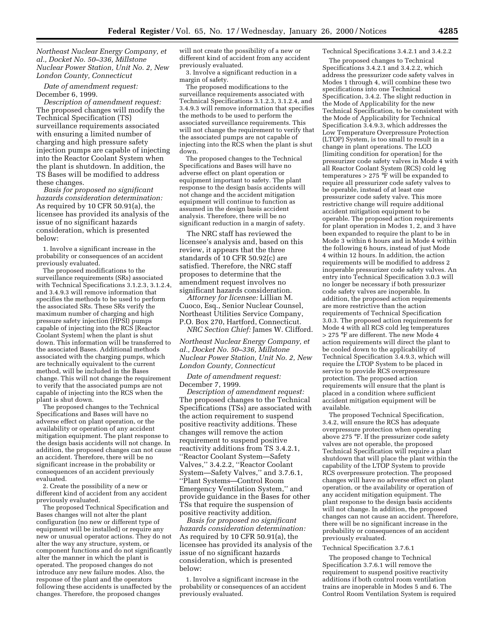*Northeast Nuclear Energy Company, et al., Docket No. 50–336, Millstone Nuclear Power Station, Unit No. 2, New London County, Connecticut*

*Date of amendment request:* December 6, 1999.

*Description of amendment request:* The proposed changes will modify the Technical Specification (TS) surveillance requirements associated with ensuring a limited number of charging and high pressure safety injection pumps are capable of injecting into the Reactor Coolant System when the plant is shutdown. In addition, the TS Bases will be modified to address these changes.

*Basis for proposed no significant hazards consideration determination:* As required by 10 CFR 50.91(a), the licensee has provided its analysis of the issue of no significant hazards consideration, which is presented below:

1. Involve a significant increase in the probability or consequences of an accident previously evaluated.

The proposed modifications to the surveillance requirements (SRs) associated with Technical Specifications 3.1.2.3, 3.1.2.4, and 3.4.9.3 will remove information that specifies the methods to be used to perform the associated SRs. These SRs verify the maximum number of charging and high pressure safety injection (HPSI) pumps capable of injecting into the RCS [Reactor Coolant System] when the plant is shut down. This information will be transferred to the associated Bases. Additional methods associated with the charging pumps, which are technically equivalent to the current method, will be included in the Bases change. This will not change the requirement to verify that the associated pumps are not capable of injecting into the RCS when the plant is shut down.

The proposed changes to the Technical Specifications and Bases will have no adverse effect on plant operation, or the availability or operation of any accident mitigation equipment. The plant response to the design basis accidents will not change. In addition, the proposed changes can not cause an accident. Therefore, there will be no significant increase in the probability or consequences of an accident previously evaluated.

2. Create the possibility of a new or different kind of accident from any accident previously evaluated.

The proposed Technical Specification and Bases changes will not alter the plant configuration (no new or different type of equipment will be installed) or require any new or unusual operator actions. They do not alter the way any structure, system, or component functions and do not significantly alter the manner in which the plant is operated. The proposed changes do not introduce any new failure modes. Also, the response of the plant and the operators following these accidents is unaffected by the changes. Therefore, the proposed changes

will not create the possibility of a new or different kind of accident from any accident previously evaluated.

3. Involve a significant reduction in a margin of safety.

The proposed modifications to the surveillance requirements associated with Technical Specifications 3.1.2.3, 3.1.2.4, and 3.4.9.3 will remove information that specifies the methods to be used to perform the associated surveillance requirements. This will not change the requirement to verify that the associated pumps are not capable of injecting into the RCS when the plant is shut down.

The proposed changes to the Technical Specifications and Bases will have no adverse effect on plant operation or equipment important to safety. The plant response to the design basis accidents will not change and the accident mitigation equipment will continue to function as assumed in the design basis accident analysis. Therefore, there will be no significant reduction in a margin of safety.

The NRC staff has reviewed the licensee's analysis and, based on this review, it appears that the three standards of 10 CFR 50.92(c) are satisfied. Therefore, the NRC staff proposes to determine that the amendment request involves no significant hazards consideration.

*Attorney for licensee:* Lillian M. Cuoco, Esq., Senior Nuclear Counsel, Northeast Utilities Service Company, P.O. Box 270, Hartford, Connecticut.

*NRC Section Chief:* James W. Clifford.

*Northeast Nuclear Energy Company, et al., Docket No. 50–336, Millstone Nuclear Power Station, Unit No. 2, New London County, Connecticut*

*Date of amendment request:* December 7, 1999.

*Description of amendment request:* The proposed changes to the Technical Specifications (TSs) are associated with the action requirement to suspend positive reactivity additions. These changes will remove the action requirement to suspend positive reactivity additions from TS 3.4.2.1, ''Reactor Coolant System—Safety Valves,'' 3.4.2.2, ''Reactor Coolant System—Safety Valves,'' and 3.7.6.1, ''Plant Systems—Control Room Emergency Ventilation System,'' and provide guidance in the Bases for other TSs that require the suspension of positive reactivity addition.

*Basis for proposed no significant hazards consideration determination:* As required by 10 CFR 50.91(a), the licensee has provided its analysis of the issue of no significant hazards consideration, which is presented below:

1. Involve a significant increase in the probability or consequences of an accident previously evaluated.

#### Technical Specifications 3.4.2.1 and 3.4.2.2

The proposed changes to Technical Specifications 3.4.2.1 and 3.4.2.2, which address the pressurizer code safety valves in Modes 1 through 4, will combine these two specifications into one Technical Specification, 3.4.2. The slight reduction in the Mode of Applicability for the new Technical Specification, to be consistent with the Mode of Applicability for Technical Specification 3.4.9.3, which addresses the Low Temperature Overpressure Protection (LTOP) System, is too small to result in a change in plant operations. The LCO [limiting condition for operation] for the pressurizer code safety valves in Mode 4 with all Reactor Coolant System (RCS) cold leg temperatures > 275 °F will be expanded to require all pressurizer code safety valves to be operable, instead of at least one pressurizer code safety valve. This more restrictive change will require additional accident mitigation equipment to be operable. The proposed action requirements for plant operation in Modes 1, 2, and 3 have been expanded to require the plant to be in Mode 3 within 6 hours and in Mode 4 within the following 6 hours, instead of just Mode 4 within 12 hours. In addition, the action requirements will be modified to address 2 inoperable pressurizer code safety valves. An entry into Technical Specification 3.0.3 will no longer be necessary if both pressurizer code safety valves are inoperable. In addition, the proposed action requirements are more restrictive than the action requirements of Technical Specification 3.0.3. The proposed action requirements for Mode 4 with all RCS cold leg temperatures > 275 °F are different. The new Mode 4 action requirements will direct the plant to be cooled down to the applicability of Technical Specification 3.4.9.3, which will require the LTOP System to be placed in service to provide RCS overpressure protection. The proposed action requirements will ensure that the plant is placed in a condition where sufficient accident mitigation equipment will be available.

The proposed Technical Specification, 3.4.2, will ensure the RCS has adequate overpressure protection when operating above 275 °F. If the pressurizer code safety valves are not operable, the proposed Technical Specification will require a plant shutdown that will place the plant within the capability of the LTOP System to provide RCS overpressure protection. The proposed changes will have no adverse effect on plant operation, or the availability or operation of any accident mitigation equipment. The plant response to the design basis accidents will not change. In addition, the proposed changes can not cause an accident. Therefore, there will be no significant increase in the probability or consequences of an accident previously evaluated.

Technical Specification 3.7.6.1

The proposed change to Technical Specification 3.7.6.1 will remove the requirement to suspend positive reactivity additions if both control room ventilation trains are inoperable in Modes 5 and 6. The Control Room Ventilation System is required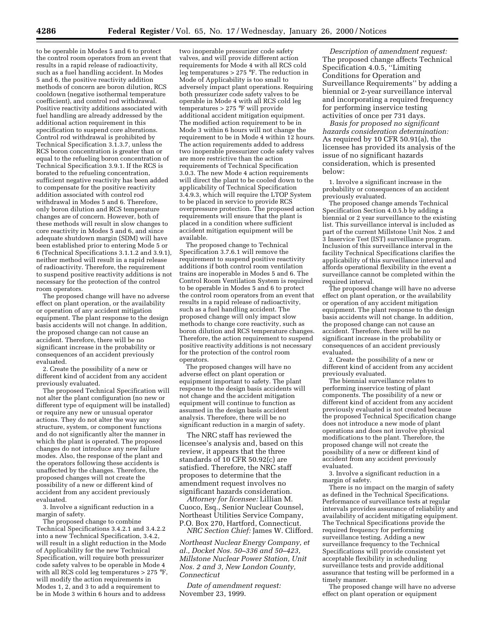to be operable in Modes 5 and 6 to protect the control room operators from an event that results in a rapid release of radioactivity, such as a fuel handling accident. In Modes 5 and 6, the positive reactivity addition methods of concern are boron dilution, RCS cooldown (negative isothermal temperature coefficient), and control rod withdrawal. Positive reactivity additions associated with fuel handling are already addressed by the additional action requirement in this specification to suspend core alterations. Control rod withdrawal is prohibited by Technical Specification 3.1.3.7, unless the RCS boron concentration is greater than or equal to the refueling boron concentration of Technical Specification 3.9.1. If the RCS is borated to the refueling concentration, sufficient negative reactivity has been added to compensate for the positive reactivity addition associated with control rod withdrawal in Modes 5 and 6. Therefore, only boron dilution and RCS temperature changes are of concern. However, both of these methods will result in slow changes to core reactivity in Modes 5 and 6, and since adequate shutdown margin (SDM) will have been established prior to entering Mode 5 or 6 (Technical Specifications 3.1.1.2 and 3.9.1), neither method will result in a rapid release of radioactivity. Therefore, the requirement to suspend positive reactivity additions is not necessary for the protection of the control room operators.

The proposed change will have no adverse effect on plant operation, or the availability or operation of any accident mitigation equipment. The plant response to the design basis accidents will not change. In addition, the proposed change can not cause an accident. Therefore, there will be no significant increase in the probability or consequences of an accident previously evaluated.

2. Create the possibility of a new or different kind of accident from any accident previously evaluated.

The proposed Technical Specification will not alter the plant configuration (no new or different type of equipment will be installed) or require any new or unusual operator actions. They do not alter the way any structure, system, or component functions and do not significantly alter the manner in which the plant is operated. The proposed changes do not introduce any new failure modes. Also, the response of the plant and the operators following these accidents is unaffected by the changes. Therefore, the proposed changes will not create the possibility of a new or different kind of accident from any accident previously evaluated.

3. Involve a significant reduction in a margin of safety.

The proposed change to combine Technical Specifications 3.4.2.1 and 3.4.2.2 into a new Technical Specification, 3.4.2, will result in a slight reduction in the Mode of Applicability for the new Technical Specification, will require both pressurizer code safety valves to be operable in Mode 4 with all RCS cold leg temperatures  $> 275$  °F, will modify the action requirements in Modes 1, 2, and 3 to add a requirement to be in Mode 3 within 6 hours and to address

two inoperable pressurizer code safety valves, and will provide different action requirements for Mode 4 with all RCS cold leg temperatures > 275 °F. The reduction in Mode of Applicability is too small to adversely impact plant operations. Requiring both pressurizer code safety valves to be operable in Mode 4 with all RCS cold leg temperatures > 275 °F will provide additional accident mitigation equipment. The modified action requirement to be in Mode 3 within 6 hours will not change the requirement to be in Mode 4 within 12 hours. The action requirements added to address two inoperable pressurizer code safety valves are more restrictive than the action requirements of Technical Specification 3.0.3. The new Mode 4 action requirements will direct the plant to be cooled down to the applicability of Technical Specification 3.4.9.3, which will require the LTOP System to be placed in service to provide RCS overpressure protection. The proposed action requirements will ensure that the plant is placed in a condition where sufficient accident mitigation equipment will be available.

The proposed change to Technical Specification 3.7.6.1 will remove the requirement to suspend positive reactivity additions if both control room ventilation trains are inoperable in Modes 5 and 6. The Control Room Ventilation System is required to be operable in Modes 5 and 6 to protect the control room operators from an event that results in a rapid release of radioactivity, such as a fuel handling accident. The proposed change will only impact slow methods to change core reactivity, such as boron dilution and RCS temperature changes. Therefore, the action requirement to suspend positive reactivity additions is not necessary for the protection of the control room operators.

The proposed changes will have no adverse effect on plant operation or equipment important to safety. The plant response to the design basis accidents will not change and the accident mitigation equipment will continue to function as assumed in the design basis accident analysis. Therefore, there will be no significant reduction in a margin of safety.

The NRC staff has reviewed the licensee's analysis and, based on this review, it appears that the three standards of 10 CFR 50.92(c) are satisfied. Therefore, the NRC staff proposes to determine that the amendment request involves no significant hazards consideration.

*Attorney for licensee:* Lillian M. Cuoco, Esq., Senior Nuclear Counsel, Northeast Utilities Service Company, P.O. Box 270, Hartford, Connecticut.

*NRC Section Chief:* James W. Clifford.

*Northeast Nuclear Energy Company, et al., Docket Nos. 50–336 and 50–423, Millstone Nuclear Power Station, Unit Nos. 2 and 3, New London County, Connecticut*

*Date of amendment request:* November 23, 1999.

*Description of amendment request:* The proposed change affects Technical Specification 4.0.5, ''Limiting Conditions for Operation and Surveillance Requirements'' by adding a biennial or 2-year surveillance interval and incorporating a required frequency for performing inservice testing activities of once per 731 days.

*Basis for proposed no significant hazards consideration determination:* As required by 10 CFR 50.91(a), the licensee has provided its analysis of the issue of no significant hazards consideration, which is presented below:

1. Involve a significant increase in the probability or consequences of an accident previously evaluated.

The proposed change amends Technical Specification Section 4.0.5.b by adding a biennial or 2 year surveillance to the existing list. This surveillance interval is included as part of the current Millstone Unit Nos. 2 and 3 Inservice Test (IST) surveillance program. Inclusion of this surveillance interval in the facility Technical Specifications clarifies the applicability of this surveillance interval and affords operational flexibility in the event a surveillance cannot be completed within the required interval.

The proposed change will have no adverse effect on plant operation, or the availability or operation of any accident mitigation equipment. The plant response to the design basis accidents will not change. In addition, the proposed change can not cause an accident. Therefore, there will be no significant increase in the probability or consequences of an accident previously evaluated.

2. Create the possibility of a new or different kind of accident from any accident previously evaluated.

The biennial surveillance relates to performing inservice testing of plant components. The possibility of a new or different kind of accident from any accident previously evaluated is not created because the proposed Technical Specification change does not introduce a new mode of plant operations and does not involve physical modifications to the plant. Therefore, the proposed change will not create the possibility of a new or different kind of accident from any accident previously evaluated.

3. Involve a significant reduction in a margin of safety.

There is no impact on the margin of safety as defined in the Technical Specifications. Performance of surveillance tests at regular intervals provides assurance of reliability and availability of accident mitigating equipment. The Technical Specifications provide the required frequency for performing surveillance testing. Adding a new surveillance frequency to the Technical Specifications will provide consistent yet acceptable flexibility in scheduling surveillance tests and provide additional assurance that testing will be performed in a timely manner.

The proposed change will have no adverse effect on plant operation or equipment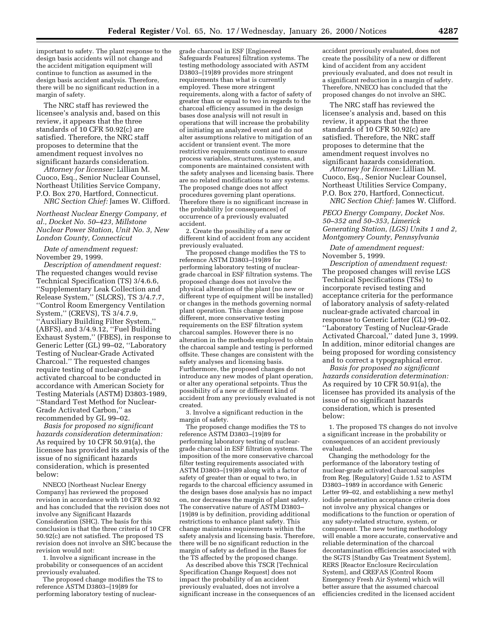important to safety. The plant response to the design basis accidents will not change and the accident mitigation equipment will continue to function as assumed in the design basis accident analysis. Therefore, there will be no significant reduction in a margin of safety.

The NRC staff has reviewed the licensee's analysis and, based on this review, it appears that the three standards of 10 CFR 50.92(c) are satisfied. Therefore, the NRC staff proposes to determine that the amendment request involves no significant hazards consideration.

*Attorney for licensee:* Lillian M. Cuoco, Esq., Senior Nuclear Counsel, Northeast Utilities Service Company, P.O. Box 270, Hartford, Connecticut. *NRC Section Chief:* James W. Clifford.

*Northeast Nuclear Energy Company, et al., Docket No. 50–423, Millstone Nuclear Power Station, Unit No. 3, New London County, Connecticut*

*Date of amendment request:* November 29, 1999.

*Description of amendment request:* The requested changes would revise Technical Specification (TS) 3/4.6.6, ''Supplementary Leak Collection and Release System,'' (SLCRS), TS 3/4.7.7, ''Control Room Emergency Ventilation System," (CREVS), TS 3/4.7.9, ''Auxiliary Building Filter System,'' (ABFS), and 3/4.9.12, ''Fuel Building Exhaust System,'' (FBES), in response to Generic Letter (GL) 99–02, ''Laboratory Testing of Nuclear-Grade Activated Charcoal.'' The requested changes require testing of nuclear-grade activated charcoal to be conducted in accordance with American Society for Testing Materials (ASTM) D3803-1989, ''Standard Test Method for Nuclear-Grade Activated Carbon,'' as recommended by GL 99–02.

*Basis for proposed no significant hazards consideration determination:* As required by 10 CFR 50.91(a), the licensee has provided its analysis of the issue of no significant hazards consideration, which is presented below:

NNECO [Northeast Nuclear Energy Company] has reviewed the proposed revision in accordance with 10 CFR 50.92 and has concluded that the revision does not involve any Significant Hazards Consideration (SHC). The basis for this conclusion is that the three criteria of 10 CFR 50.92(c) are not satisfied. The proposed TS revision does not involve an SHC because the revision would not:

1. Involve a significant increase in the probability or consequences of an accident previously evaluated.

The proposed change modifies the TS to reference ASTM D3803–[19]89 for performing laboratory testing of nucleargrade charcoal in ESF [Engineered Safeguards Features] filtration systems. The testing methodology associated with ASTM D3803–[19]89 provides more stringent requirements than what is currently employed. These more stringent requirements, along with a factor of safety of greater than or equal to two in regards to the charcoal efficiency assumed in the design bases dose analysis will not result in operations that will increase the probability of initiating an analyzed event and do not alter assumptions relative to mitigation of an accident or transient event. The more restrictive requirements continue to ensure process variables, structures, systems, and components are maintained consistent with the safety analyses and licensing basis. There are no related modifications to any systems. The proposed change does not affect procedures governing plant operations. Therefore there is no significant increase in the probability [or consequences] of occurrence of a previously evaluated accident.

2. Create the possibility of a new or different kind of accident from any accident previously evaluated.

The proposed change modifies the TS to reference ASTM D3803–[19]89 for performing laboratory testing of nucleargrade charcoal in ESF filtration systems. The proposed change does not involve the physical alteration of the plant (no new or different type of equipment will be installed) or changes in the methods governing normal plant operation. This change does impose different, more conservative testing requirements on the ESF filtration system charcoal samples. However there is no alteration in the methods employed to obtain the charcoal sample and testing is performed offsite. These changes are consistent with the safety analyses and licensing basis. Furthermore, the proposed changes do not introduce any new modes of plant operation, or alter any operational setpoints. Thus the possibility of a new or different kind of accident from any previously evaluated is not created.

3. Involve a significant reduction in the margin of safety.

The proposed change modifies the TS to reference ASTM D3803–[19]89 for performing laboratory testing of nucleargrade charcoal in ESF filtration systems. The imposition of the more conservative charcoal filter testing requirements associated with ASTM D3803–[19]89 along with a factor of safety of greater than or equal to two, in regards to the charcoal efficiency assumed in the design bases dose analysis has no impact on, nor decreases the margin of plant safety. The conservative nature of ASTM D3803– [19]89 is by definition, providing additional restrictions to enhance plant safety. This change maintains requirements within the safety analysis and licensing basis. Therefore, there will be no significant reduction in the margin of safety as defined in the Bases for the TS affected by the proposed change.

As described above this TSCR [Technical Specification Change Request] does not impact the probability of an accident previously evaluated, does not involve a significant increase in the consequences of an accident previously evaluated, does not create the possibility of a new or different kind of accident from any accident previously evaluated, and does not result in a significant reduction in a margin of safety. Therefore, NNECO has concluded that the proposed changes do not involve an SHC.

The NRC staff has reviewed the licensee's analysis and, based on this review, it appears that the three standards of 10 CFR 50.92(c) are satisfied. Therefore, the NRC staff proposes to determine that the amendment request involves no significant hazards consideration.

*Attorney for licensee:* Lillian M. Cuoco, Esq., Senior Nuclear Counsel, Northeast Utilities Service Company, P.O. Box 270, Hartford, Connecticut. *NRC Section Chief:* James W. Clifford.

*PECO Energy Company, Docket Nos. 50–352 and 50–353, Limerick Generating Station, (LGS) Units 1 and 2, Montgomery County, Pennsylvania*

*Date of amendment request:* November 5, 1999.

*Description of amendment request:* The proposed changes will revise LGS Technical Specifications (TSs) to incorporate revised testing and acceptance criteria for the performance of laboratory analysis of safety-related nuclear-grade activated charcoal in response to Generic Letter (GL) 99–02. ''Laboratory Testing of Nuclear-Grade Activated Charcoal,'' dated June 3, 1999. In addition, minor editorial changes are being proposed for wording consistency and to correct a typographical error.

*Basis for proposed no significant hazards consideration determination:* As required by 10 CFR 50.91(a), the licensee has provided its analysis of the issue of no significant hazards consideration, which is presented below:

1. The proposed TS changes do not involve a significant increase in the probability or consequences of an accident previously evaluated.

Changing the methodology for the performance of the laboratory testing of nuclear-grade activated charcoal samples from Reg. [Regulatory] Guide 1.52 to ASTM D3803–1989 in accordance with Generic Letter 99–02, and establishing a new methyl iodide penetration acceptance criteria does not involve any physical changes or modifications to the function or operation of any safety-related structure, system, or component. The new testing methodology will enable a more accurate, conservative and reliable determination of the charcoal decontamination efficiencies associated with the SGTS [Standby Gas Treatment System], RERS [Reactor Enclosure Recirculation System], and CREFAS [Control Room Emergency Fresh Air System] which will better assure that the assumed charcoal efficiencies credited in the licensed accident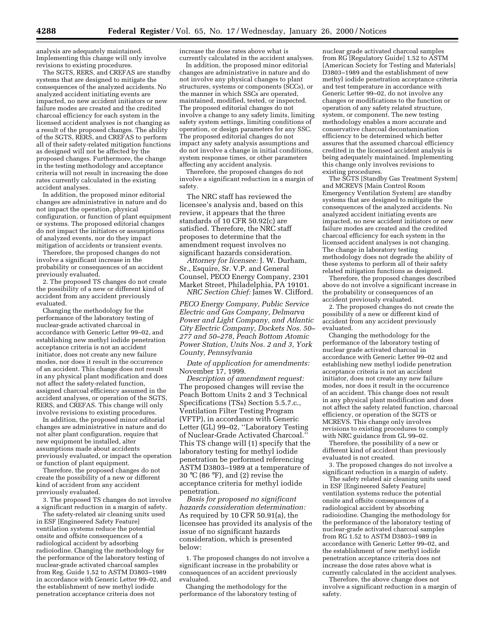analysis are adequately maintained. Implementing this change will only involve revisions to existing procedures.

The SGTS, RERS, and CREFAS are standby systems that are designed to mitigate the consequences of the analyzed accidents. No analyzed accident initiating events are impacted, no new accident initiators or new failure modes are created and the credited charcoal efficiency for each system in the licensed accident analyses is not changing as a result of the proposed changes. The ability of the SGTS, RERS, and CREFAS to perform all of their safety-related mitigation functions as designed will not be affected by the proposed changes. Furthermore, the change in the testing methodology and acceptance criteria will not result in increasing the dose rates currently calculated in the existing accident analyses.

In addition, the proposed minor editorial changes are administrative in nature and do not impact the operation, physical configuration, or function of plant equipment or systems. The proposed editorial changes do not impact the initiators or assumptions of analyzed events, nor do they impact mitigation of accidents or transient events.

Therefore, the proposed changes do not involve a significant increase in the probability or consequences of an accident previously evaluated.

2. The proposed TS changes do not create the possibility of a new or different kind of accident from any accident previously evaluated.

Changing the methodology for the performance of the laboratory testing of nuclear-grade activated charcoal in accordance with Generic Letter 99–02, and establishing new methyl iodide penetration acceptance criteria is not an accident initiator, does not create any new failure modes, nor does it result in the occurrence of an accident. This change does not result in any physical plant modification and does not affect the safety-related function, assigned charcoal efficiency assumed in the accident analyses, or operation of the SGTS, RERS, and CREFAS. This change will only involve revisions to existing procedures.

In addition, the proposed minor editorial changes are administrative in nature and do not alter plant configuration, require that new equipment be installed, alter assumptions made about accidents previously evaluated, or impact the operation or function of plant equipment.

Therefore, the proposed changes do not create the possibility of a new or different kind of accident from any accident previously evaluated.

3. The proposed TS changes do not involve a significant reduction in a margin of safety.

The safety-related air cleaning units used in ESF [Engineered Safety Feature] ventilation systems reduce the potential onsite and offsite consequences of a radiological accident by adsorbing radioiodine. Changing the methodology for the performance of the laboratory testing of nuclear-grade activated charcoal samples from Reg. Guide 1.52 to ASTM D3803–1989 in accordance with Generic Letter 99–02, and the establishment of new methyl iodide penetration acceptance criteria does not

increase the dose rates above what is currently calculated in the accident analyses.

In addition, the proposed minor editorial changes are administrative in nature and do not involve any physical changes to plant structures, systems or components (SCCs), or the manner in which SSCs are operated, maintained, modified, tested, or inspected. The proposed editorial changes do not involve a change to any safety limits, limiting safety system settings, limiting conditions of operation, or design parameters for any SSC. The proposed editorial changes do not impact any safety analysis assumptions and do not involve a change in initial conditions, system response times, or other parameters affecting any accident analysis.

Therefore, the proposed changes do not involve a significant reduction in a margin of safety.

The NRC staff has reviewed the licensee's analysis and, based on this review, it appears that the three standards of 10 CFR 50.92(c) are satisfied. Therefore, the NRC staff proposes to determine that the amendment request involves no significant hazards consideration.

*Attorney for licensee:* J. W. Durham, Sr., Esquire, Sr. V.P. and General Counsel, PECO Energy Company, 2301 Market Street, Philadelphia, PA 19101. *NRC Section Chief:* James W. Clifford.

*PECO Energy Company, Public Service Electric and Gas Company, Delmarva Power and Light Company, and Atlantic City Electric Company, Dockets Nos. 50– 277 and 50–278, Peach Bottom Atomic Power Station, Units Nos. 2 and 3, York County, Pennsylvania*

*Date of application for amendments:* November 17, 1999.

*Description of amendment request:* The proposed changes will revise the Peach Bottom Units 2 and 3 Technical Specifications (TSs) Section 5.5.7.c., Ventilation Filter Testing Program (VFTP), in accordance with Generic Letter (GL) 99–02, ''Laboratory Testing of Nuclear-Grade Activated Charcoal.'' This TS change will (1) specify that the laboratory testing for methyl iodide penetration be performed referencing ASTM D3803–1989 at a temperature of 30 °C (86 °F), and (2) revise the acceptance criteria for methyl iodide penetration.

*Basis for proposed no significant hazards consideration determination:* As required by 10 CFR 50.91(a), the licensee has provided its analysis of the issue of no significant hazards consideration, which is presented below:

1. The proposed changes do not involve a significant increase in the probability or consequences of an accident previously evaluated.

Changing the methodology for the performance of the laboratory testing of

nuclear grade activated charcoal samples from RG [Regulatory Guide] 1.52 to ASTM [American Society for Testing and Materials] D3803–1989 and the establishment of new methyl iodide penetration acceptance criteria and test temperature in accordance with Generic Letter 99–02, do not involve any changes or modifications to the function or operation of any safety related structure, system, or component. The new testing methodology enables a more accurate and conservative charcoal decontamination efficiency to be determined which better assures that the assumed charcoal efficiency credited in the licensed accident analysis is being adequately maintained. Implementing this change only involves revisions to existing procedures.

The SGTS [Standby Gas Treatment System] and MCREVS [Main Control Room Emergency Ventilation System] are standby systems that are designed to mitigate the consequences of the analyzed accidents. No analyzed accident initiating events are impacted, no new accident initiators or new failure modes are created and the credited charcoal efficiency for each system in the licensed accident analyses is not changing. The change in laboratory testing methodology does not degrade the ability of these systems to perform all of their safety related mitigation functions as designed.

Therefore, the proposed changes described above do not involve a significant increase in the probability or consequences of an accident previously evaluated.

2. The proposed changes do not create the possibility of a new or different kind of accident from any accident previously evaluated.

Changing the methodology for the performance of the laboratory testing of nuclear grade activated charcoal in accordance with Generic Letter 99–02 and establishing new methyl iodide penetration acceptance criteria is not an accident initiator, does not create any new failure modes, nor does it result in the occurrence of an accident. This change does not result in any physical plant modification and does not affect the safety related function, charcoal efficiency, or operation of the SGTS or MCREVS. This change only involves revisions to existing procedures to comply with NRC guidance from GL 99–02.

Therefore, the possibility of a new or different kind of accident than previously evaluated is not created.

3. The proposed changes do not involve a significant reduction in a margin of safety.

The safety related air cleaning units used in ESF [Engineered Safety Feature] ventilation systems reduce the potential onsite and offsite consequences of a radiological accident by absorbing radioiodine. Changing the methodology for the performance of the laboratory testing of nuclear-grade activated charcoal samples from RG 1.52 to ASTM D3803–1989 in accordance with Generic Letter 99–02, and the establishment of new methyl iodide penetration acceptance criteria does not increase the dose rates above what is currently calculated in the accident analyses.

Therefore, the above change does not involve a significant reduction in a margin of safety.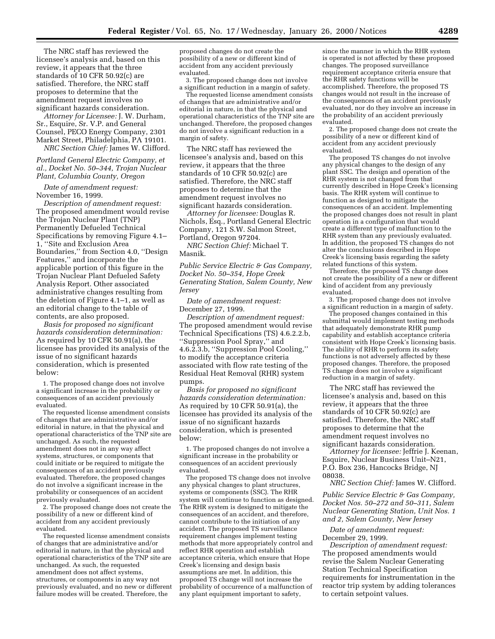The NRC staff has reviewed the licensee's analysis and, based on this review, it appears that the three standards of 10 CFR 50.92(c) are satisfied. Therefore, the NRC staff proposes to determine that the amendment request involves no significant hazards consideration.

*Attorney for Licensee:* J. W. Durham, Sr., Esquire, Sr. V.P. and General Counsel, PECO Energy Company, 2301 Market Street, Philadelphia, PA 19101. *NRC Section Chief:* James W. Clifford.

*Portland General Electric Company, et al., Docket No. 50–344, Trojan Nuclear Plant, Columbia County, Oregon*

*Date of amendment request:* November 16, 1999.

*Description of amendment request:* The proposed amendment would revise the Trojan Nuclear Plant (TNP) Permanently Defueled Technical Specifications by removing Figure 4.1– 1, ''Site and Exclusion Area Boundaries,'' from Section 4.0, ''Design Features,'' and incorporate the applicable portion of this figure in the Trojan Nuclear Plant Defueled Safety Analysis Report. Other associated administrative changes resulting from the deletion of Figure 4.1–1, as well as an editorial change to the table of contents, are also proposed.

*Basis for proposed no significant hazards consideration determination:* As required by 10 CFR 50.91(a), the licensee has provided its analysis of the issue of no significant hazards consideration, which is presented below:

1. The proposed change does not involve a significant increase in the probability or consequences of an accident previously evaluated.

The requested license amendment consists of changes that are administrative and/or editorial in nature, in that the physical and operational characteristics of the TNP site are unchanged. As such, the requested amendment does not in any way affect systems, structures, or components that could initiate or be required to mitigate the consequences of an accident previously evaluated. Therefore, the proposed changes do not involve a significant increase in the probability or consequences of an accident previously evaluated.

2. The proposed change does not create the possibility of a new or different kind of accident from any accident previously evaluated.

The requested license amendment consists of changes that are administrative and/or editorial in nature, in that the physical and operational characteristics of the TNP site are unchanged. As such, the requested amendment does not affect systems, structures, or components in any way not previously evaluated, and no new or different failure modes will be created. Therefore, the

proposed changes do not create the possibility of a new or different kind of accident from any accident previously evaluated.

3. The proposed change does not involve a significant reduction in a margin of safety.

The requested license amendment consists of changes that are administrative and/or editorial in nature, in that the physical and operational characteristics of the TNP site are unchanged. Therefore, the proposed changes do not involve a significant reduction in a margin of safety.

The NRC staff has reviewed the licensee's analysis and, based on this review, it appears that the three standards of 10 CFR 50.92(c) are satisfied. Therefore, the NRC staff proposes to determine that the amendment request involves no significant hazards consideration.

*Attorney for licensee:* Douglas R. Nichols, Esq., Portland General Electric Company, 121 S.W. Salmon Street, Portland, Oregon 97204.

*NRC Section Chief:* Michael T. Masnik.

*Public Service Electric & Gas Company, Docket No. 50–354, Hope Creek Generating Station, Salem County, New Jersey*

*Date of amendment request:* December 27, 1999.

*Description of amendment request:* The proposed amendment would revise Technical Specifications (TS) 4.6.2.2.b, ''Suppression Pool Spray,'' and 4.6.2.3.b, ''Suppression Pool Cooling,'' to modify the acceptance criteria associated with flow rate testing of the Residual Heat Removal (RHR) system pumps.

*Basis for proposed no significant hazards consideration determination:* As required by 10 CFR 50.91(a), the licensee has provided its analysis of the issue of no significant hazards consideration, which is presented below:

1. The proposed changes do not involve a significant increase in the probability or consequences of an accident previously evaluated.

The proposed TS change does not involve any physical changes to plant structures, systems or components (SSC). The RHR system will continue to function as designed. The RHR system is designed to mitigate the consequences of an accident, and therefore, cannot contribute to the initiation of any accident. The proposed TS surveillance requirement changes implement testing methods that more appropriately control and reflect RHR operation and establish acceptance criteria, which ensure that Hope Creek's licensing and design basis assumptions are met. In addition, this proposed TS change will not increase the probability of occurrence of a malfunction of any plant equipment important to safety,

since the manner in which the RHR system is operated is not affected by these proposed changes. The proposed surveillance requirement acceptance criteria ensure that the RHR safety functions will be accomplished. Therefore, the proposed TS changes would not result in the increase of the consequences of an accident previously evaluated, nor do they involve an increase in the probability of an accident previously evaluated.

2. The proposed change does not create the possibility of a new or different kind of accident from any accident previously evaluated.

The proposed TS changes do not involve any physical changes to the design of any plant SSC. The design and operation of the RHR system is not changed from that currently described in Hope Creek's licensing basis. The RHR system will continue to function as designed to mitigate the consequences of an accident. Implementing the proposed changes does not result in plant operation in a configuration that would create a different type of malfunction to the RHR system than any previously evaluated. In addition, the proposed TS changes do not alter the conclusions described in Hope Creek's licensing basis regarding the safety related functions of this system.

Therefore, the proposed TS change does not create the possibility of a new or different kind of accident from any previously evaluated.

3. The proposed change does not involve a significant reduction in a margin of safety.

The proposed changes contained in this submittal would implement testing methods that adequately demonstrate RHR pump capability and establish acceptance criteria consistent with Hope Creek's licensing basis. The ability of RHR to perform its safety functions is not adversely affected by these proposed changes. Therefore, the proposed TS change does not involve a significant reduction in a margin of safety.

The NRC staff has reviewed the licensee's analysis and, based on this review, it appears that the three standards of 10 CFR 50.92(c) are satisfied. Therefore, the NRC staff proposes to determine that the amendment request involves no significant hazards consideration.

*Attorney for licensee:* Jeffrie J. Keenan, Esquire, Nuclear Business Unit–N21, P.O. Box 236, Hancocks Bridge, NJ 08038.

*NRC Section Chief:* James W. Clifford.

*Public Service Electric & Gas Company, Docket Nos. 50–272 and 50–311, Salem Nuclear Generating Station, Unit Nos. 1 and 2, Salem County, New Jersey*

*Date of amendment request:* December 29, 1999.

*Description of amendment request:* The proposed amendments would revise the Salem Nuclear Generating Station Technical Specification requirements for instrumentation in the reactor trip system by adding tolerances to certain setpoint values.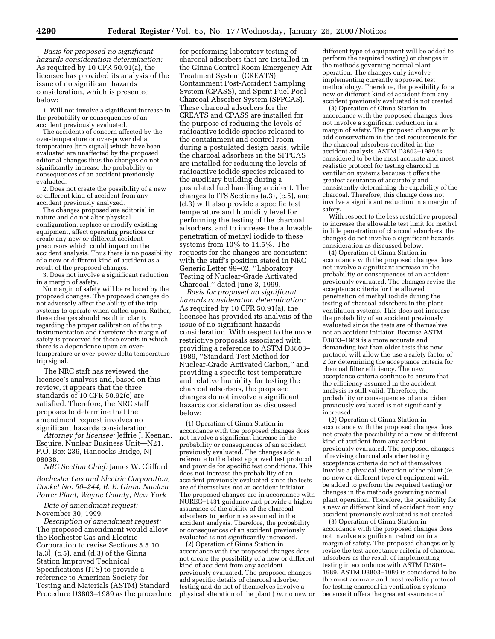*Basis for proposed no significant hazards consideration determination:* As required by 10 CFR 50.91(a), the licensee has provided its analysis of the issue of no significant hazards consideration, which is presented below:

1. Will not involve a significant increase in the probability or consequences of an accident previously evaluated.

The accidents of concern affected by the over-temperature or over-power delta temperature [trip signal] which have been evaluated are unaffected by the proposed editorial changes thus the changes do not significantly increase the probability or consequences of an accident previously evaluated.

2. Does not create the possibility of a new or different kind of accident from any accident previously analyzed.

The changes proposed are editorial in nature and do not alter physical configuration, replace or modify existing equipment, affect operating practices or create any new or different accident precursors which could impact on the accident analysis. Thus there is no possibility of a new or different kind of accident as a result of the proposed changes.

3. Does not involve a significant reduction in a margin of safety.

No margin of safety will be reduced by the proposed changes. The proposed changes do not adversely affect the ability of the trip systems to operate when called upon. Rather, these changes should result in clarity regarding the proper calibration of the trip instrumentation and therefore the margin of safety is preserved for those events in which there is a dependence upon an overtemperature or over-power delta temperature trip signal.

The NRC staff has reviewed the licensee's analysis and, based on this review, it appears that the three standards of 10 CFR 50.92(c) are satisfied. Therefore, the NRC staff proposes to determine that the amendment request involves no significant hazards consideration.

*Attorney for licensee:* Jeffrie J. Keenan, Esquire, Nuclear Business Unit—N21, P.O. Box 236, Hancocks Bridge, NJ 08038.

*NRC Section Chief:* James W. Clifford.

*Rochester Gas and Electric Corporation, Docket No. 50–244, R. E. Ginna Nuclear Power Plant, Wayne County, New York*

*Date of amendment request:* November 30, 1999.

*Description of amendment request:* The proposed amendment would allow the Rochester Gas and Electric Corporation to revise Sections 5.5.10  $(a.3)$ ,  $(c.5)$ , and  $(d.3)$  of the Ginna Station Improved Technical Specifications (ITS) to provide a reference to American Society for Testing and Materials (ASTM) Standard Procedure D3803–1989 as the procedure

for performing laboratory testing of charcoal adsorbers that are installed in the Ginna Control Room Emergency Air Treatment System (CREATS), Containment Post-Accident Sampling System (CPASS), and Spent Fuel Pool Charcoal Absorber System (SFPCAS). These charcoal adsorbers for the CREATS and CPASS are installed for the purpose of reducing the levels of radioactive iodide species released to the containment and control room during a postulated design basis, while the charcoal adsorbers in the SFPCAS are installed for reducing the levels of radioactive iodide species released to the auxiliary building during a postulated fuel handling accident. The changes to ITS Sections (a.3), (c.5), and (d.3) will also provide a specific test temperature and humidity level for performing the testing of the charcoal adsorbers, and to increase the allowable penetration of methyl iodide to these systems from 10% to 14.5%. The requests for the changes are consistent with the staff's position stated in NRC Generic Letter 99–02, ''Laboratory Testing of Nuclear-Grade Activated Charcoal,'' dated June 3, 1999.

*Basis for proposed no significant hazards consideration determination:* As required by 10 CFR 50.91(a), the licensee has provided its analysis of the issue of no significant hazards consideration. With respect to the more restrictive proposals associated with providing a reference to ASTM D3803– 1989, ''Standard Test Method for Nuclear-Grade Activated Carbon,'' and providing a specific test temperature and relative humidity for testing the charcoal adsorbers, the proposed changes do not involve a significant hazards consideration as discussed below:

(1) Operation of Ginna Station in accordance with the proposed changes does not involve a significant increase in the probability or consequences of an accident previously evaluated. The changes add a reference to the latest approved test protocol and provide for specific test conditions. This does not increase the probability of an accident previously evaluated since the tests are of themselves not an accident initiator. The proposed changes are in accordance with NUREG–1431 guidance and provide a higher assurance of the ability of the charcoal adsorbers to perform as assumed in the accident analysis. Therefore, the probability or consequences of an accident previously evaluated is not significantly increased.

(2) Operation of Ginna Station in accordance with the proposed changes does not create the possibility of a new or different kind of accident from any accident previously evaluated. The proposed changes add specific details of charcoal adsorber testing and do not of themselves involve a physical alteration of the plant ( *ie.* no new or

different type of equipment will be added to perform the required testing) or changes in the methods governing normal plant operation. The changes only involve implementing currently approved test methodology. Therefore, the possibility for a new or different kind of accident from any accident previously evaluated is not created.

(3) Operation of Ginna Station in accordance with the proposed changes does not involve a significant reduction in a margin of safety. The proposed changes only add conservatism in the test requirements for the charcoal adsorbers credited in the accident analysis. ASTM D3803–1989 is considered to be the most accurate and most realistic protocol for testing charcoal in ventilation systems because it offers the greatest assurance of accurately and consistently determining the capability of the charcoal. Therefore, this change does not involve a significant reduction in a margin of safety.

With respect to the less restrictive proposal to increase the allowable test limit for methyl iodide penetration of charcoal adsorbers, the changes do not involve a significant hazards consideration as discussed below:

(4) Operation of Ginna Station in accordance with the proposed changes does not involve a significant increase in the probability or consequences of an accident previously evaluated. The changes revise the acceptance criteria for the allowed penetration of methyl iodide during the testing of charcoal adsorbers in the plant ventilation systems. This does not increase the probability of an accident previously evaluated since the tests are of themselves not an accident initiator. Because ASTM D3803–1989 is a more accurate and demanding test than older tests this new protocol will allow the use a safety factor of 2 for determining the acceptance criteria for charcoal filter efficiency. The new acceptance criteria continue to ensure that the efficiency assumed in the accident analysis is still valid. Therefore, the probability or consequences of an accident previously evaluated is not significantly increased.

(2) Operation of Ginna Station in accordance with the proposed changes does not create the possibility of a new or different kind of accident from any accident previously evaluated. The proposed changes of revising charcoal adsorber testing acceptance criteria do not of themselves involve a physical alteration of the plant (*ie.* no new or different type of equipment will be added to perform the required testing) or changes in the methods governing normal plant operation. Therefore, the possibility for a new or different kind of accident from any accident previously evaluated is not created.

(3) Operation of Ginna Station in accordance with the proposed changes does not involve a significant reduction in a margin of safety. The proposed changes only revise the test acceptance criteria of charcoal adsorbers as the result of implementing testing in accordance with ASTM D3803– 1989. ASTM D3803–1989 is considered to be the most accurate and most realistic protocol for testing charcoal in ventilation systems because it offers the greatest assurance of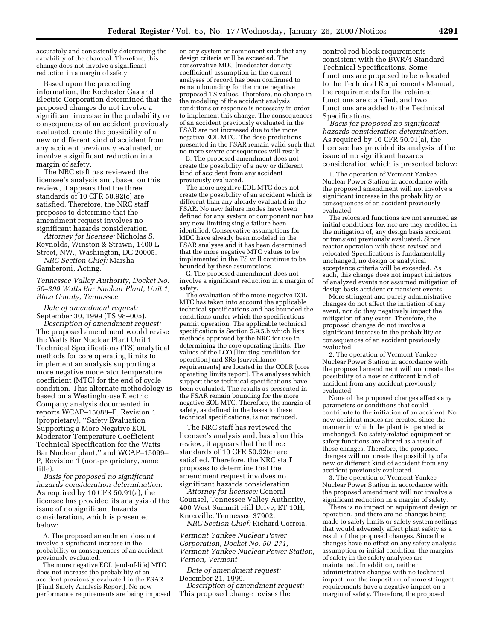accurately and consistently determining the capability of the charcoal. Therefore, this change does not involve a significant reduction in a margin of safety.

Based upon the preceding information, the Rochester Gas and Electric Corporation determined that the proposed changes do not involve a significant increase in the probability or consequences of an accident previously evaluated, create the possibility of a new or different kind of accident from any accident previously evaluated, or involve a significant reduction in a margin of safety.

The NRC staff has reviewed the licensee's analysis and, based on this review, it appears that the three standards of 10 CFR 50.92(c) are satisfied. Therefore, the NRC staff proposes to determine that the amendment request involves no significant hazards consideration.

*Attorney for licensee:* Nicholas S. Reynolds, Winston & Strawn, 1400 L Street, NW., Washington, DC 20005.

*NRC Section Chief:* Marsha Gamberoni, Acting.

*Tennessee Valley Authority, Docket No. 50–390 Watts Bar Nuclear Plant, Unit 1, Rhea County, Tennessee*

*Date of amendment request:* September 30, 1999 (TS 98–005).

*Description of amendment request:* The proposed amendment would revise the Watts Bar Nuclear Plant Unit 1 Technical Specifications (TS) analytical methods for core operating limits to implement an analysis supporting a more negative moderator temperature coefficient (MTC) for the end of cycle condition. This alternate methodology is based on a Westinghouse Electric Company analysis documented in reports WCAP–15088–P, Revision 1 (proprietary), ''Safety Evaluation Supporting a More Negative EOL Moderator Temperature Coefficient Technical Specification for the Watts Bar Nuclear plant,'' and WCAP–15099– P, Revision 1 (non-proprietary, same title).

*Basis for proposed no significant hazards consideration determination:* As required by 10 CFR 50.91(a), the licensee has provided its analysis of the issue of no significant hazards consideration, which is presented below:

A. The proposed amendment does not involve a significant increase in the probability or consequences of an accident previously evaluated.

The more negative EOL [end-of-life] MTC does not increase the probability of an accident previously evaluated in the FSAR [Final Safety Analysis Report]. No new performance requirements are being imposed

on any system or component such that any design criteria will be exceeded. The conservative MDC [moderator density coefficient] assumption in the current analyses of record has been confirmed to remain bounding for the more negative proposed TS values. Therefore, no change in the modeling of the accident analysis conditions or response is necessary in order to implement this change. The consequences of an accident previously evaluated in the FSAR are not increased due to the more negative EOL MTC. The dose predictions presented in the FSAR remain valid such that no more severe consequences will result.

B. The proposed amendment does not create the possibility of a new or different kind of accident from any accident previously evaluated.

The more negative EOL MTC does not create the possibility of an accident which is different than any already evaluated in the FSAR. No new failure modes have been defined for any system or component nor has any new limiting single failure been identified. Conservative assumptions for MDC have already been modeled in the FSAR analyses and it has been determined that the more negative MTC values to be implemented in the TS will continue to be bounded by these assumptions.

C. The proposed amendment does not involve a significant reduction in a margin of safety.

The evaluation of the more negative EOL MTC has taken into account the applicable technical specifications and has bounded the conditions under which the specifications permit operation. The applicable technical specification is Section 5.9.5.b which lists methods approved by the NRC for use in determining the core operating limits. The values of the LCO [limiting condition for operation] and SRs [surveillance requirements] are located in the COLR [core operating limits report]. The analyses which support these technical specifications have been evaluated. The results as presented in the FSAR remain bounding for the more negative EOL MTC. Therefore, the margin of safety, as defined in the bases to these technical specifications, is not reduced.

The NRC staff has reviewed the licensee's analysis and, based on this review, it appears that the three standards of 10 CFR 50.92(c) are satisfied. Therefore, the NRC staff proposes to determine that the amendment request involves no significant hazards consideration.

*Attorney for licensee:* General Counsel, Tennessee Valley Authority, 400 West Summit Hill Drive, ET 10H, Knoxville, Tennessee 37902.

*NRC Section Chief:* Richard Correia.

*Vermont Yankee Nuclear Power Corporation, Docket No. 50–271, Vermont Yankee Nuclear Power Station, Vernon, Vermont*

*Date of amendment request:* December 21, 1999.

*Description of amendment request:* This proposed change revises the

control rod block requirements consistent with the BWR/4 Standard Technical Specifications. Some functions are proposed to be relocated to the Technical Requirements Manual, the requirements for the retained functions are clarified, and two functions are added to the Technical Specifications.

*Basis for proposed no significant hazards consideration determination:* As required by 10 CFR 50.91(a), the licensee has provided its analysis of the issue of no significant hazards consideration which is presented below:

1. The operation of Vermont Yankee Nuclear Power Station in accordance with the proposed amendment will not involve a significant increase in the probability or consequences of an accident previously evaluated.

The relocated functions are not assumed as initial conditions for, nor are they credited in the mitigation of, any design basis accident or transient previously evaluated. Since reactor operation with these revised and relocated Specifications is fundamentally unchanged, no design or analytical acceptance criteria will be exceeded. As such, this change does not impact initiators of analyzed events nor assumed mitigation of design basis accident or transient events.

More stringent and purely administrative changes do not affect the initiation of any event, nor do they negatively impact the mitigation of any event. Therefore, the proposed changes do not involve a significant increase in the probability or consequences of an accident previously evaluated.

2. The operation of Vermont Yankee Nuclear Power Station in accordance with the proposed amendment will not create the possibility of a new or different kind of accident from any accident previously evaluated.

None of the proposed changes affects any parameters or conditions that could contribute to the initiation of an accident. No new accident modes are created since the manner in which the plant is operated is unchanged. No safety-related equipment or safety functions are altered as a result of these changes. Therefore, the proposed changes will not create the possibility of a new or different kind of accident from any accident previously evaluated.

3. The operation of Vermont Yankee Nuclear Power Station in accordance with the proposed amendment will not involve a significant reduction in a margin of safety.

There is no impact on equipment design or operation, and there are no changes being made to safety limits or safety system settings that would adversely affect plant safety as a result of the proposed changes. Since the changes have no effect on any safety analysis assumption or initial condition, the margins of safety in the safety analyses are maintained. In addition, neither administrative changes with no technical impact, nor the imposition of more stringent requirements have a negative impact on a margin of safety. Therefore, the proposed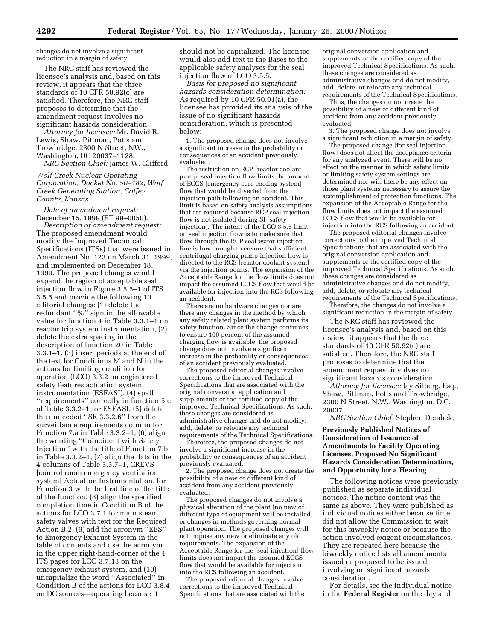changes do not involve a significant reduction in a margin of safety.

The NRC staff has reviewed the licensee's analysis and, based on this review, it appears that the three standards of 10 CFR 50.92(c) are satisfied. Therefore, the NRC staff proposes to determine that the amendment request involves no significant hazards consideration.

*Attorney for licensee:* Mr. David R. Lewis, Shaw, Pittman, Potts and Trowbridge, 2300 N Street, NW., Washington, DC 20037–1128. *NRC Section Chief:* James W. Clifford.

## *Wolf Creek Nuclear Operating Corporation, Docket No. 50–482, Wolf Creek Generating Station, Coffey County, Kansas.*

*Date of amendment request:* December 15, 1999 (ET 99-0050).

*Description of amendment request:* The proposed amendment would modify the Improved Technical Specifications (ITSs) that were issued in Amendment No. 123 on March 31, 1999, and implemented on December 18, 1999. The proposed changes would expand the region of acceptable seal injection flow in Figure 3.5.5–1 of ITS 3.5.5 and provide the following 10 editorial changes: (1) delete the redundant "%" sign in the allowable value for function 4 in Table 3.3.1–1 on reactor trip system instrumentation, (2) delete the extra spacing in the description of function 20 in Table 3.3.1–1, (3) insert periods at the end of the text for Conditions M and N in the actions for limiting condition for operation (LCO) 3.3.2 on engineered safety features actuation system instrumentation (ESFASI), (4) spell ''requirements'' correctly in function 5.c of Table 3.3.2–1 for ESFASI, (5) delete the unneeded ''SR 3.3.2.6'' from the surveillance requirements column for Function 7.a in Table 3.3.2–1, (6) align the wording ''Coincident with Safety Injection'' with the title of Function 7.b in Table 3.3.2–1, (7) align the data in the 4 columns of Table 3.3.7–1, CREVS [control room emergency ventilation system] Actuation Instrumentation, for Function 3 with the first line of the title of the function, (8) align the specified completion time in Condition B of the actions for LCO 3.7.1 for main steam safety valves with text for the Required Action B.2, (9) add the acronym ''EES'' to Emergency Exhaust System in the table of contents and use the acronym in the upper right-hand-corner of the 4 ITS pages for LCO 3.7.13 on the emergency exhaust system, and (10) uncapitalize the word ''Associated'' in Condition B of the actions for LCO 3.8.4 on DC sources—operating because it

should not be capitalized. The licensee would also add text to the Bases to the applicable safety analyses for the seal injection flow of LCO 3.5.5.

*Basis for proposed no significant hazards consideration determination:* As required by 10 CFR 50.91(a), the licensee has provided its analysis of the issue of no significant hazards consideration, which is presented below:

1. The proposed change does not involve a significant increase in the probability or consequences of an accident previously evaluated.

The restriction on RCP [reactor coolant pump] seal injection flow limits the amount of ECCS [emergency core cooling system] flow that would be diverted from the injection path following an accident. This limit is based on safety analysis assumptions that are required because RCP seal injection flow is not isolated during SI [safety injection]. The intent of the LCO 3.5.5 limit on seal injection flow is to make sure that flow through the RCP seal water injection line is low enough to ensure that sufficient centrifugal charging pump injection flow is directed to the RCS [reactor coolant system] via the injection points. The expansion of the Acceptable Range for the flow limits does not impact the assumed ECCS flow that would be available for injection into the RCS following an accident.

There are no hardware changes nor are there any changes in the method by which any safety related plant system performs its safety function. Since the change continues to ensure 100 percent of the assumed charging flow is available, the proposed change does not involve a significant increase in the probability or consequences of an accident previously evaluated.

The proposed editorial changes involve corrections to the improved Technical Specifications that are associated with the original conversion application and supplements or the certified copy of the improved Technical Specifications. As such, these changes are considered as administrative changes and do not modify, add, delete, or relocate any technical requirements of the Technical Specifications.

Therefore, the proposed changes do not involve a significant increase in the probability or consequences of an accident previously evaluated.

2. The proposed change does not create the possibility of a new or different kind of accident from any accident previously evaluated.

The proposed changes do not involve a physical alteration of the plant (no new of different type of equipment will be installed) or changes in methods governing normal plant operation. The proposed changes will not impose any new or eliminate any old requirements. The expansion of the Acceptable Range for the [seal injection] flow limits does not impact the assumed ECCS flow that would be available for injection into the RCS following an accident.

The proposed editorial changes involve corrections to the improved Technical Specifications that are associated with the

original conversion application and supplements or the certified copy of the improved Technical Specifications. As such, these changes are considered as administrative changes and do not modify, add, delete, or relocate any technical requirements of the Technical Specifications.

Thus, the changes do not create the possibility of a new or different kind of accident from any accident previously evaluated.

3. The proposed change does not involve a significant reduction in a margin of safety.

The proposed change [for seal injection flow] does not affect the acceptance criteria for any analyzed event. There will be no effect on the manner in which safety limits or limiting safety system settings are determined nor will there be any effect on those plant systems necessary to assure the accomplishment of protection functions. The expansion of the Acceptable Range for the flow limits does not impact the assumed ECCS flow that would be available for injection into the RCS following an accident.

The proposed editorial changes involve corrections to the improved Technical Specifications that are associated with the original conversion application and supplements or the certified copy of the improved Technical Specifications. As such, these changes are considered as administrative changes and do not modify, add, delete, or relocate any technical requirements of the Technical Specifications.

Therefore, the changes do not involve a significant reduction in the margin of safety.

The NRC staff has reviewed the licensee's analysis and, based on this review, it appears that the three standards of 10 CFR 50.92(c) are satisfied. Therefore, the NRC staff proposes to determine that the amendment request involves no significant hazards consideration.

*Attorney for licensee:* Jay Silberg, Esq., Shaw, Pittman, Potts and Trowbridge, 2300 N Street, N.W., Washington, D.C. 20037.

*NRC Section Chief:* Stephen Dembek.

## **Previously Published Notices of Consideration of Issuance of Amendments to Facility Operating Licenses, Proposed No Significant Hazards Consideration Determination, and Opportunity for a Hearing**

The following notices were previously published as separate individual notices. The notice content was the same as above. They were published as individual notices either because time did not allow the Commission to wait for this biweekly notice or because the action involved exigent circumstances. They are repeated here because the biweekly notice lists all amendments issued or proposed to be issued involving no significant hazards consideration.

For details, see the individual notice in the **Federal Register** on the day and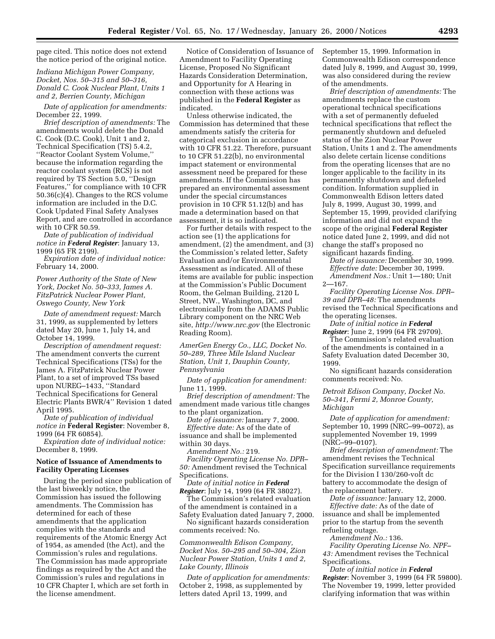page cited. This notice does not extend the notice period of the original notice.

*Indiana Michigan Power Company, Docket, Nos. 50–315 and 50–316, Donald C. Cook Nuclear Plant, Units 1 and 2, Berrien County, Michigan*

*Date of application for amendments:* December 22, 1999.

*Brief description of amendments:* The amendments would delete the Donald C. Cook (D.C. Cook), Unit 1 and 2, Technical Specification (TS) 5.4.2, ''Reactor Coolant System Volume,'' because the information regarding the reactor coolant system (RCS) is not required by TS Section 5.0, ''Design Features,'' for compliance with 10 CFR 50.36(c)(4). Changes to the RCS volume information are included in the D.C. Cook Updated Final Safety Analyses Report, and are controlled in accordance with 10 CFR 50.59.

*Date of publication of individual notice in Federal Register*: January 13, 1999 (65 FR 2199).

*Expiration date of individual notice:* February 14, 2000.

*Power Authority of the State of New York, Docket No. 50–333, James A. FitzPatrick Nuclear Power Plant, Oswego County, New York*

*Date of amendment request:* March 31, 1999, as supplemented by letters dated May 20, June 1, July 14, and October 14, 1999.

*Description of amendment request:* The amendment converts the current Technical Specifications (TSs) for the James A. FitzPatrick Nuclear Power Plant, to a set of improved TSs based upon NUREG–1433, ''Standard Technical Specifications for General Electric Plants BWR/4'' Revision 1 dated April 1995.

*Date of publication of individual notice in* **Federal Register**: November 8, 1999 (64 FR 60854).

*Expiration date of individual notice:* December 8, 1999.

## **Notice of Issuance of Amendments to Facility Operating Licenses**

During the period since publication of the last biweekly notice, the Commission has issued the following amendments. The Commission has determined for each of these amendments that the application complies with the standards and requirements of the Atomic Energy Act of 1954, as amended (the Act), and the Commission's rules and regulations. The Commission has made appropriate findings as required by the Act and the Commission's rules and regulations in 10 CFR Chapter I, which are set forth in the license amendment.

Notice of Consideration of Issuance of Amendment to Facility Operating License, Proposed No Significant Hazards Consideration Determination, and Opportunity for A Hearing in connection with these actions was published in the **Federal Register** as indicated.

Unless otherwise indicated, the Commission has determined that these amendments satisfy the criteria for categorical exclusion in accordance with 10 CFR 51.22. Therefore, pursuant to 10 CFR 51.22(b), no environmental impact statement or environmental assessment need be prepared for these amendments. If the Commission has prepared an environmental assessment under the special circumstances provision in 10 CFR 51.12(b) and has made a determination based on that assessment, it is so indicated.

For further details with respect to the action see (1) the applications for amendment, (2) the amendment, and (3) the Commission's related letter, Safety Evaluation and/or Environmental Assessment as indicated. All of these items are available for public inspection at the Commission's Public Document Room, the Gelman Building, 2120 L Street, NW., Washington, DC, and electronically from the ADAMS Public Library component on the NRC Web site, *http://www.nrc.gov* (the Electronic Reading Room).

*AmerGen Energy Co., LLC, Docket No. 50–289, Three Mile Island Nuclear Station, Unit 1, Dauphin County, Pennsylvania*

*Date of application for amendment:* June 11, 1999.

*Brief description of amendment:* The amendment made various title changes to the plant organization.

*Date of issuance:* January 7, 2000.

*Effective date:* As of the date of issuance and shall be implemented within 30 days.

*Amendment No.:* 219.

*Facility Operating License No. DPR– 50:* Amendment revised the Technical Specifications.

*Date of initial notice in Federal Register*: July 14, 1999 (64 FR 38027).

The Commission's related evaluation of the amendment is contained in a Safety Evaluation dated January 7, 2000.

No significant hazards consideration comments received: No.

*Commonwealth Edison Company, Docket Nos. 50–295 and 50–304, Zion Nuclear Power Station, Units 1 and 2, Lake County, Illinois*

*Date of application for amendments:* October 2, 1998, as supplemented by letters dated April 13, 1999, and

September 15, 1999. Information in Commonwealth Edison correspondence dated July 8, 1999, and August 30, 1999, was also considered during the review of the amendments.

*Brief description of amendments:* The amendments replace the custom operational technical specifications with a set of permanently defueled technical specifications that reflect the permanently shutdown and defueled status of the Zion Nuclear Power Station, Units 1 and 2. The amendments also delete certain license conditions from the operating licenses that are no longer applicable to the facility in its permanently shutdown and defueled condition. Information supplied in Commonwealth Edison letters dated July 8, 1999, August 30, 1999, and September 15, 1999, provided clarifying information and did not expand the scope of the original **Federal Register** notice dated June 2, 1999, and did not change the staff's proposed no significant hazards finding.

*Date of issuance:* December 30, 1999. *Effective date:* December 30, 1999. *Amendment Nos.:* Unit 1—180; Unit 2—167.

*Facility Operating License Nos. DPR– 39 and DPR–48:* The amendments revised the Technical Specifications and the operating licenses.

*Date of initial notice in Federal Register*: June 2, 1999 (64 FR 29709).

The Commission's related evaluation of the amendments is contained in a Safety Evaluation dated December 30, 1999.

No significant hazards consideration comments received: No.

*Detroit Edison Company, Docket No. 50–341, Fermi 2, Monroe County, Michigan*

*Date of application for amendment:* September 10, 1999 (NRC–99–0072), as supplemented November 19, 1999 (NRC–99–0107).

*Brief description of amendment:* The amendment revises the Technical Specification surveillance requirements for the Division I 130/260-volt dc battery to accommodate the design of the replacement battery.

*Date of issuance:* January 12, 2000. *Effective date:* As of the date of issuance and shall be implemented prior to the startup from the seventh refueling outage.

*Amendment No.:* 136.

*Facility Operating License No. NPF– 43:* Amendment revises the Technical Specifications.

*Date of initial notice in Federal Register*: November 3, 1999 (64 FR 59800). The November 19, 1999, letter provided clarifying information that was within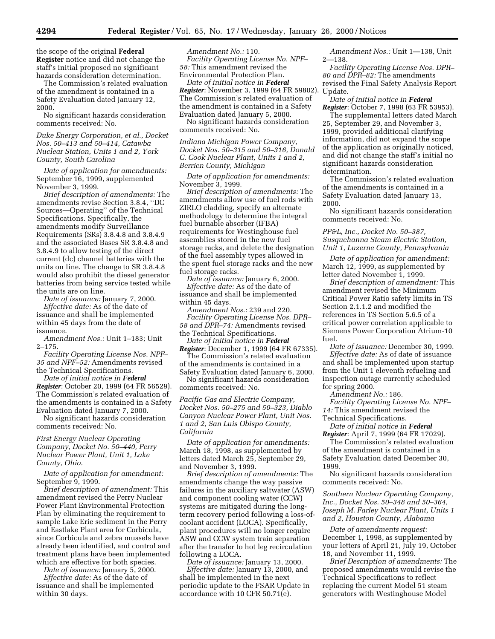the scope of the original **Federal Register** notice and did not change the staff's initial proposed no significant hazards consideration determination.

The Commission's related evaluation of the amendment is contained in a Safety Evaluation dated January 12, 2000.

No significant hazards consideration comments received: No.

*Duke Energy Corporation, et al., Docket Nos. 50–413 and 50–414, Catawba Nuclear Station, Units 1 and 2, York County, South Carolina*

*Date of application for amendments:* September 16, 1999, supplemented November 3, 1999.

*Brief description of amendments:* The amendments revise Section 3.8.4, ''DC Sources—Operating'' of the Technical Specifications. Specifically, the amendments modify Surveillance Requirements (SRs) 3.8.4.8 and 3.8.4.9 and the associated Bases SR 3.8.4.8 and 3.8.4.9 to allow testing of the direct current (dc) channel batteries with the units on line. The change to SR 3.8.4.8 would also prohibit the diesel generator batteries from being service tested while the units are on line.

*Date of issuance:* January 7, 2000. *Effective date:* As of the date of

issuance and shall be implemented within 45 days from the date of issuance.

*Amendment Nos.:* Unit 1–183; Unit 2–175.

*Facility Operating License Nos. NPF– 35 and NPF–52:* Amendments revised the Technical Specifications.

*Date of initial notice in Federal Register*: October 20, 1999 (64 FR 56529). The Commission's related evaluation of the amendments is contained in a Safety Evaluation dated January 7, 2000.

No significant hazards consideration comments received: No.

*First Energy Nuclear Operating Company, Docket No. 50–440, Perry Nuclear Power Plant, Unit 1, Lake County, Ohio.*

*Date of application for amendment:* September 9, 1999.

*Brief description of amendment:* This amendment revised the Perry Nuclear Power Plant Environmental Protection Plan by eliminating the requirement to sample Lake Erie sediment in the Perry and Eastlake Plant area for Corbicula, since Corbicula and zebra mussels have already been identified, and control and treatment plans have been implemented which are effective for both species.

*Date of issuance:* January 5, 2000.

*Effective date:* As of the date of issuance and shall be implemented within 30 days.

*Amendment No.:* 110. *Facility Operating License No. NPF– 58:* This amendment revised the Environmental Protection Plan.

*Date of initial notice in Federal Register*: November 3, 1999 (64 FR 59802). Update. The Commission's related evaluation of the amendment is contained in a Safety Evaluation dated January 5, 2000.

No significant hazards consideration comments received: No.

*Indiana Michigan Power Company, Docket Nos. 50–315 and 50–316, Donald C. Cook Nuclear Plant, Units 1 and 2, Berrien County, Michigan*

*Date of application for amendments:* November 3, 1999.

*Brief description of amendments:* The amendments allow use of fuel rods with ZIRLO cladding, specify an alternate methodology to determine the integral fuel burnable absorber (IFBA) requirements for Westinghouse fuel assemblies stored in the new fuel storage racks, and delete the designation of the fuel assembly types allowed in the spent fuel storage racks and the new fuel storage racks.

*Date of issuance:* January 6, 2000. *Effective date:* As of the date of issuance and shall be implemented within 45 days.

*Amendment Nos.:* 239 and 220. *Facility Operating License Nos. DPR– 58 and DPR–74:* Amendments revised the Technical Specifications.

*Date of initial notice in Federal Register*: December 1, 1999 (64 FR 67335). The Commission's related evaluation

of the amendments is contained in a Safety Evaluation dated January 6, 2000.

No significant hazards consideration comments received: No.

*Pacific Gas and Electric Company, Docket Nos. 50–275 and 50–323, Diablo Canyon Nuclear Power Plant, Unit Nos. 1 and 2, San Luis Obispo County, California*

*Date of application for amendments:* March 18, 1998, as supplemented by letters dated March 25, September 29, and November 3, 1999.

*Brief description of amendments:* The amendments change the way passive failures in the auxiliary saltwater (ASW) and component cooling water (CCW) systems are mitigated during the longterm recovery period following a loss-ofcoolant accident (LOCA). Specifically, plant procedures will no longer require ASW and CCW system train separation after the transfer to hot leg recirculation following a LOCA.

*Date of issuance:* January 13, 2000. *Effective date:* January 13, 2000, and shall be implemented in the next periodic update to the FSAR Update in accordance with 10 CFR 50.71(e).

*Amendment Nos.:* Unit 1—138, Unit 2—138.

*Facility Operating License Nos. DPR– 80 and DPR–82:* The amendments revised the Final Safety Analysis Report

*Date of initial notice in Federal Register*: October 7, 1998 (63 FR 53953).

The supplemental letters dated March 25, September 29, and November 3, 1999, provided additional clarifying information, did not expand the scope of the application as originally noticed, and did not change the staff's initial no significant hazards consideration determination.

The Commission's related evaluation of the amendments is contained in a Safety Evaluation dated January 13, 2000.

No significant hazards consideration comments received: No.

*PP&L, Inc., Docket No. 50–387, Susquehanna Steam Electric Station, Unit 1, Luzerne County, Pennsylvania*

*Date of application for amendment:* March 12, 1999, as supplemented by letter dated November 1, 1999.

*Brief description of amendment:* This amendment revised the Minimum Critical Power Ratio safety limits in TS Section 2.1.1.2 and modified the references in TS Section 5.6.5 of a critical power correlation applicable to Siemens Power Corporation Atrium-10 fuel.

*Date of issuance:* December 30, 1999. *Effective date:* As of date of issuance and shall be implemented upon startup from the Unit 1 eleventh refueling and inspection outage currently scheduled for spring 2000.

*Amendment No.:* 186.

*Facility Operating License No. NPF– 14:* This amendment revised the Technical Specifications.

*Date of initial notice in Federal Register*: April 7, 1999 (64 FR 17029).

The Commission's related evaluation of the amendment is contained in a Safety Evaluation dated December 30,

1999.

No significant hazards consideration comments received: No.

*Southern Nuclear Operating Company, Inc., Docket Nos. 50–348 and 50–364, Joseph M. Farley Nuclear Plant, Units 1 and 2, Houston County, Alabama*

*Date of amendments request:* December 1, 1998, as supplemented by your letters of April 21, July 19, October 18, and November 11, 1999.

*Brief Description of amendments:* The proposed amendments would revise the Technical Specifications to reflect replacing the current Model 51 steam generators with Westinghouse Model